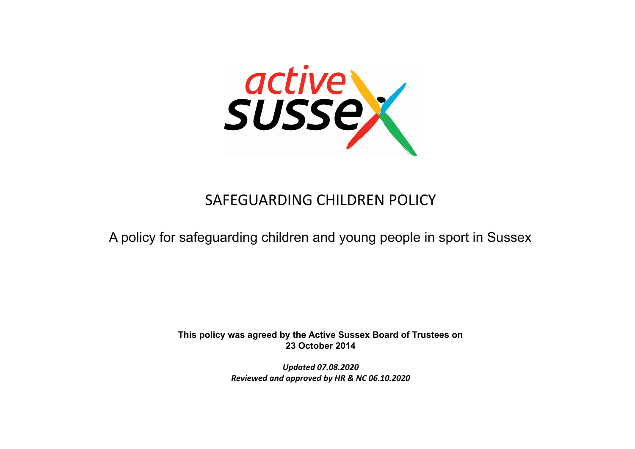

# SAFEGUARDING CHILDREN POLICY

# A policy for safeguarding children and young people in sport in Sussex

**This policy was agreed by the Active Sussex Board of Trustees on 23 October 2014**

> *Updated 07.08.2020 Reviewed and approved by HR & NC 06.10.2020*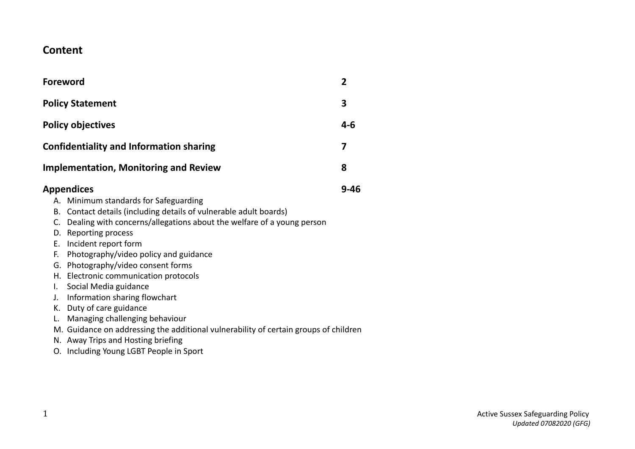# **Content**

| Foreword                                                                                                                                                                                                                                                                                                                                                                                                                                                                                                                                                                                                                                                                                                 | $\overline{2}$ |
|----------------------------------------------------------------------------------------------------------------------------------------------------------------------------------------------------------------------------------------------------------------------------------------------------------------------------------------------------------------------------------------------------------------------------------------------------------------------------------------------------------------------------------------------------------------------------------------------------------------------------------------------------------------------------------------------------------|----------------|
| <b>Policy Statement</b>                                                                                                                                                                                                                                                                                                                                                                                                                                                                                                                                                                                                                                                                                  | 3              |
| <b>Policy objectives</b>                                                                                                                                                                                                                                                                                                                                                                                                                                                                                                                                                                                                                                                                                 | $4 - 6$        |
| <b>Confidentiality and Information sharing</b>                                                                                                                                                                                                                                                                                                                                                                                                                                                                                                                                                                                                                                                           | 7              |
| <b>Implementation, Monitoring and Review</b>                                                                                                                                                                                                                                                                                                                                                                                                                                                                                                                                                                                                                                                             | 8              |
| Appendices<br>A. Minimum standards for Safeguarding<br>B. Contact details (including details of vulnerable adult boards)<br>C. Dealing with concerns/allegations about the welfare of a young person<br>D. Reporting process<br>E. Incident report form<br>Photography/video policy and guidance<br>F.<br>G. Photography/video consent forms<br>H. Electronic communication protocols<br>Social Media guidance<br>I.<br>Information sharing flowchart<br>J.<br>K. Duty of care guidance<br>Managing challenging behaviour<br>L.<br>M. Guidance on addressing the additional vulnerability of certain groups of children<br>N. Away Trips and Hosting briefing<br>O. Including Young LGBT People in Sport | $9 - 46$       |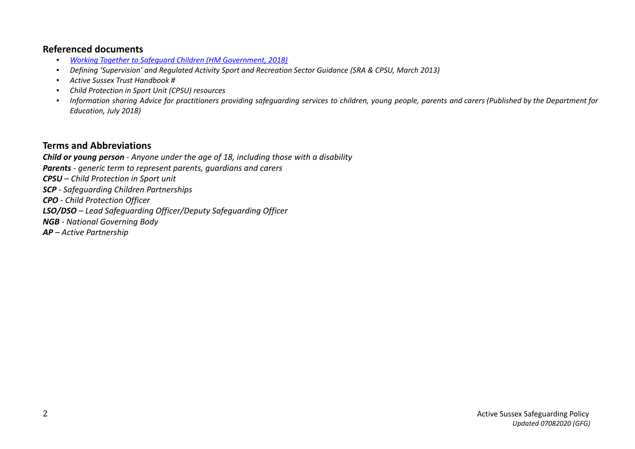# **Referenced documents**

- *▪ Working Together to Safeguard Children (HM [Government,](https://www.gov.uk/government/publications/working-together-to-safeguard-children--2) 2018)*
- *▪ Defining 'Supervision' and Regulated Activity Sport and Recreation Sector Guidance (SRA & CPSU, March 2013)*
- *▪ Active Sussex Trust Handbook #*
- *▪ Child Protection in Sport Unit (CPSU) resources*
- Information sharing Advice for practitioners providing safequarding services to children, young people, parents and carers (Published by the Department for *Education, July 2018)*

# **Terms and Abbreviations**

*Child or young person - Anyone under the age of 18, including those with a disability Parents - generic term to represent parents, guardians and carers CPSU – Child Protection in Sport unit SCP - Safeguarding Children Partnerships CPO - Child Protection Officer LSO/DSO – Lead Safeguarding Officer/Deputy Safeguarding Officer NGB - National Governing Body AP – Active Partnership*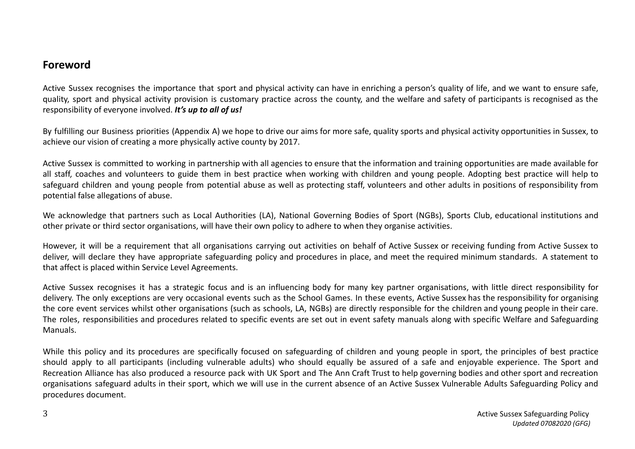# **Foreword**

Active Sussex recognises the importance that sport and physical activity can have in enriching a person's quality of life, and we want to ensure safe, quality, sport and physical activity provision is customary practice across the county, and the welfare and safety of participants is recognised as the responsibility of everyone involved. *It's up to all of us!*

By fulfilling our Business priorities (Appendix A) we hope to drive our aims for more safe, quality sports and physical activity opportunities in Sussex, to achieve our vision of creating a more physically active county by 2017.

Active Sussex is committed to working in partnership with all agencies to ensure that the information and training opportunities are made available for all staff, coaches and volunteers to guide them in best practice when working with children and young people. Adopting best practice will help to safeguard children and young people from potential abuse as well as protecting staff, volunteers and other adults in positions of responsibility from potential false allegations of abuse.

We acknowledge that partners such as Local Authorities (LA), National Governing Bodies of Sport (NGBs), Sports Club, educational institutions and other private or third sector organisations, will have their own policy to adhere to when they organise activities.

However, it will be a requirement that all organisations carrying out activities on behalf of Active Sussex or receiving funding from Active Sussex to deliver, will declare they have appropriate safeguarding policy and procedures in place, and meet the required minimum standards. A statement to that affect is placed within Service Level Agreements.

Active Sussex recognises it has a strategic focus and is an influencing body for many key partner organisations, with little direct responsibility for delivery. The only exceptions are very occasional events such as the School Games. In these events, Active Sussex has the responsibility for organising the core event services whilst other organisations (such as schools, LA, NGBs) are directly responsible for the children and young people in their care. The roles, responsibilities and procedures related to specific events are set out in event safety manuals along with specific Welfare and Safeguarding Manuals.

While this policy and its procedures are specifically focused on safeguarding of children and young people in sport, the principles of best practice should apply to all participants (including vulnerable adults) who should equally be assured of a safe and enjoyable experience. The Sport and Recreation Alliance has also produced a resource pack with UK Sport and The Ann Craft Trust to help governing bodies and other sport and recreation organisations safeguard adults in their sport, which we will use in the current absence of an Active Sussex Vulnerable Adults Safeguarding Policy and procedures document.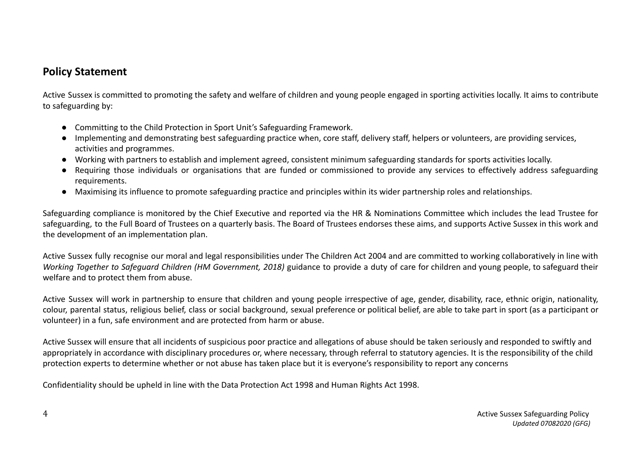# **Policy Statement**

Active Sussex is committed to promoting the safety and welfare of children and young people engaged in sporting activities locally. It aims to contribute to safeguarding by:

- Committing to the Child Protection in Sport Unit's Safeguarding Framework.
- Implementing and demonstrating best safeguarding practice when, core staff, delivery staff, helpers or volunteers, are providing services, activities and programmes.
- Working with partners to establish and implement agreed, consistent minimum safeguarding standards for sports activities locally.
- Requiring those individuals or organisations that are funded or commissioned to provide any services to effectively address safeguarding requirements.
- Maximising its influence to promote safeguarding practice and principles within its wider partnership roles and relationships.

Safeguarding compliance is monitored by the Chief Executive and reported via the HR & Nominations Committee which includes the lead Trustee for safeguarding, to the Full Board of Trustees on a quarterly basis. The Board of Trustees endorses these aims, and supports Active Sussex in this work and the development of an implementation plan.

Active Sussex fully recognise our moral and legal responsibilities under The Children Act 2004 and are committed to working collaboratively in line with *Working Together to Safeguard Children (HM Government, 2018)* guidance to provide a duty of care for children and young people, to safeguard their welfare and to protect them from abuse.

Active Sussex will work in partnership to ensure that children and young people irrespective of age, gender, disability, race, ethnic origin, nationality, colour, parental status, religious belief, class or social background, sexual preference or political belief, are able to take part in sport (as a participant or volunteer) in a fun, safe environment and are protected from harm or abuse.

Active Sussex will ensure that all incidents of suspicious poor practice and allegations of abuse should be taken seriously and responded to swiftly and appropriately in accordance with disciplinary procedures or, where necessary, through referral to statutory agencies. It is the responsibility of the child protection experts to determine whether or not abuse has taken place but it is everyone's responsibility to report any concerns

Confidentiality should be upheld in line with the Data Protection Act 1998 and Human Rights Act 1998.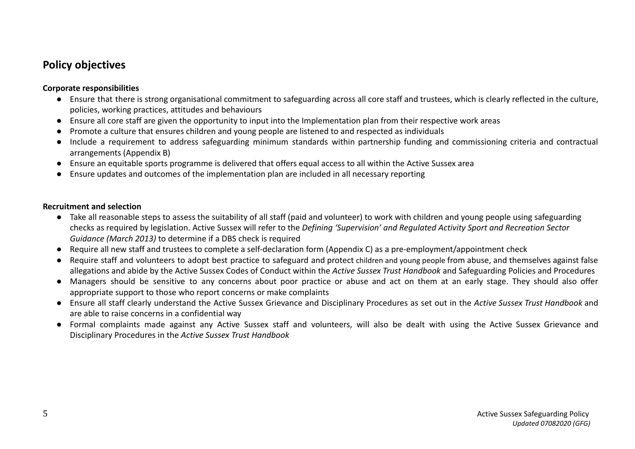# **Policy objectives**

## **Corporate responsibilities**

- Ensure that there is strong organisational commitment to safeguarding across all core staff and trustees, which is clearly reflected in the culture, policies, working practices, attitudes and behaviours
- Ensure all core staff are given the opportunity to input into the Implementation plan from their respective work areas
- Promote a culture that ensures children and young people are listened to and respected as individuals
- Include a requirement to address safeguarding minimum standards within partnership funding and commissioning criteria and contractual arrangements (Appendix B)
- Ensure an equitable sports programme is delivered that offers equal access to all within the Active Sussex area
- Ensure updates and outcomes of the implementation plan are included in all necessary reporting

## **Recruitment and selection**

- Take all reasonable steps to assess the suitability of all staff (paid and volunteer) to work with children and young people using safeguarding checks as required by legislation. Active Sussex will refer to the *Defining 'Supervision' and Regulated Activity Sport and Recreation Sector Guidance (March 2013)* to determine if a DBS check is required
- Require all new staff and trustees to complete a self-declaration form (Appendix C) as a pre-employment/appointment check
- Require staff and volunteers to adopt best practice to safeguard and protect children and young people from abuse, and themselves against false allegations and abide by the Active Sussex Codes of Conduct within the *Active Sussex Trust Handbook* and Safeguarding Policies and Procedures
- Managers should be sensitive to any concerns about poor practice or abuse and act on them at an early stage. They should also offer appropriate support to those who report concerns or make complaints
- Ensure all staff clearly understand the Active Sussex Grievance and Disciplinary Procedures as set out in the *Active Sussex Trust Handbook* and are able to raise concerns in a confidential way
- Formal complaints made against any Active Sussex staff and volunteers, will also be dealt with using the Active Sussex Grievance and Disciplinary Procedures in the *Active Sussex Trust Handbook*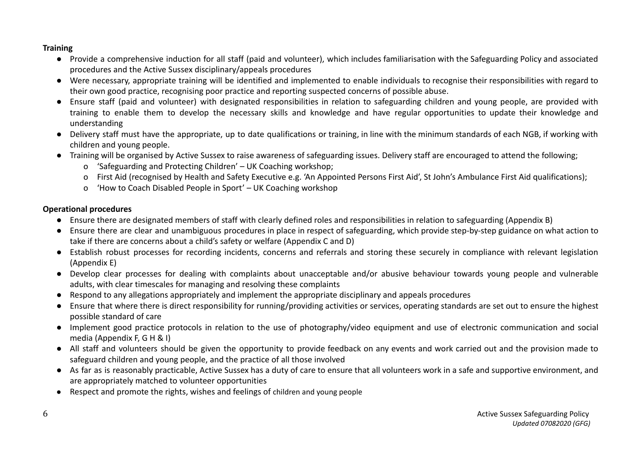# **Training**

- Provide a comprehensive induction for all staff (paid and volunteer), which includes familiarisation with the Safeguarding Policy and associated procedures and the Active Sussex disciplinary/appeals procedures
- Were necessary, appropriate training will be identified and implemented to enable individuals to recognise their responsibilities with regard to their own good practice, recognising poor practice and reporting suspected concerns of possible abuse.
- Ensure staff (paid and volunteer) with designated responsibilities in relation to safeguarding children and young people, are provided with training to enable them to develop the necessary skills and knowledge and have regular opportunities to update their knowledge and understanding
- Delivery staff must have the appropriate, up to date qualifications or training, in line with the minimum standards of each NGB, if working with children and young people.
- Training will be organised by Active Sussex to raise awareness of safeguarding issues. Delivery staff are encouraged to attend the following;
	- o 'Safeguarding and Protecting Children' UK Coaching workshop;
	- o First Aid (recognised by Health and Safety Executive e.g. 'An Appointed Persons First Aid', St John's Ambulance First Aid qualifications);
	- o 'How to Coach Disabled People in Sport' UK Coaching workshop

# **Operational procedures**

- Ensure there are designated members of staff with clearly defined roles and responsibilities in relation to safeguarding (Appendix B)
- Ensure there are clear and unambiguous procedures in place in respect of safeguarding, which provide step-by-step guidance on what action to take if there are concerns about a child's safety or welfare (Appendix C and D)
- Establish robust processes for recording incidents, concerns and referrals and storing these securely in compliance with relevant legislation (Appendix E)
- Develop clear processes for dealing with complaints about unacceptable and/or abusive behaviour towards young people and vulnerable adults, with clear timescales for managing and resolving these complaints
- Respond to any allegations appropriately and implement the appropriate disciplinary and appeals procedures
- Ensure that where there is direct responsibility for running/providing activities or services, operating standards are set out to ensure the highest possible standard of care
- Implement good practice protocols in relation to the use of photography/video equipment and use of electronic communication and social media (Appendix F, G H & I)
- All staff and volunteers should be given the opportunity to provide feedback on any events and work carried out and the provision made to safeguard children and young people, and the practice of all those involved
- As far as is reasonably practicable, Active Sussex has a duty of care to ensure that all volunteers work in a safe and supportive environment, and are appropriately matched to volunteer opportunities
- Respect and promote the rights, wishes and feelings of children and young people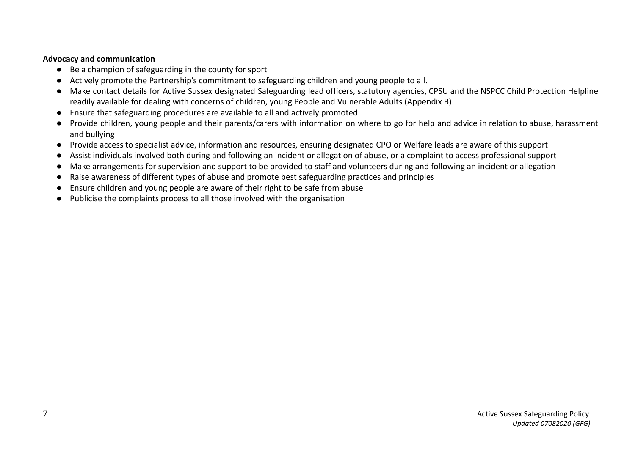## **Advocacy and communication**

- Be a champion of safeguarding in the county for sport
- Actively promote the Partnership's commitment to safeguarding children and young people to all.
- Make contact details for Active Sussex designated Safeguarding lead officers, statutory agencies, CPSU and the NSPCC Child Protection Helpline readily available for dealing with concerns of children, young People and Vulnerable Adults (Appendix B)
- Ensure that safeguarding procedures are available to all and actively promoted
- Provide children, young people and their parents/carers with information on where to go for help and advice in relation to abuse, harassment and bullying
- Provide access to specialist advice, information and resources, ensuring designated CPO or Welfare leads are aware of this support
- Assist individuals involved both during and following an incident or allegation of abuse, or a complaint to access professional support
- Make arrangements for supervision and support to be provided to staff and volunteers during and following an incident or allegation
- Raise awareness of different types of abuse and promote best safeguarding practices and principles
- Ensure children and young people are aware of their right to be safe from abuse
- Publicise the complaints process to all those involved with the organisation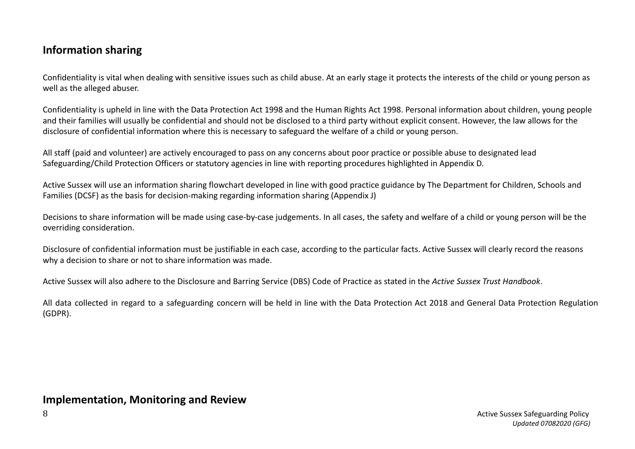# **Information sharing**

Confidentiality is vital when dealing with sensitive issues such as child abuse. At an early stage it protects the interests of the child or young person as well as the alleged abuser.

Confidentiality is upheld in line with the Data Protection Act 1998 and the Human Rights Act 1998. Personal information about children, young people and their families will usually be confidential and should not be disclosed to a third party without explicit consent. However, the law allows for the disclosure of confidential information where this is necessary to safeguard the welfare of a child or young person.

All staff (paid and volunteer) are actively encouraged to pass on any concerns about poor practice or possible abuse to designated lead Safeguarding/Child Protection Officers or statutory agencies in line with reporting procedures highlighted in Appendix D.

Active Sussex will use an information sharing flowchart developed in line with good practice guidance by The Department for Children, Schools and Families (DCSF) as the basis for decision-making regarding information sharing (Appendix J)

Decisions to share information will be made using case-by-case judgements. In all cases, the safety and welfare of a child or young person will be the overriding consideration.

Disclosure of confidential information must be justifiable in each case, according to the particular facts. Active Sussex will clearly record the reasons why a decision to share or not to share information was made.

Active Sussex will also adhere to the Disclosure and Barring Service (DBS) Code of Practice as stated in the *Active Sussex Trust Handbook*.

All data collected in regard to a safeguarding concern will be held in line with the Data Protection Act 2018 and General Data Protection Regulation (GDPR).

# **Implementation, Monitoring and Review**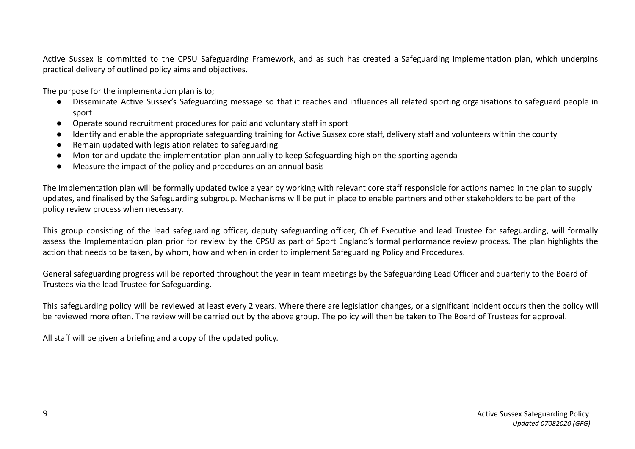Active Sussex is committed to the CPSU Safeguarding Framework, and as such has created a Safeguarding Implementation plan, which underpins practical delivery of outlined policy aims and objectives.

The purpose for the implementation plan is to;

- **●** Disseminate Active Sussex's Safeguarding message so that it reaches and influences all related sporting organisations to safeguard people in sport
- **●** Operate sound recruitment procedures for paid and voluntary staff in sport
- **●** Identify and enable the appropriate safeguarding training for Active Sussex core staff, delivery staff and volunteers within the county
- **●** Remain updated with legislation related to safeguarding
- **●** Monitor and update the implementation plan annually to keep Safeguarding high on the sporting agenda
- **●** Measure the impact of the policy and procedures on an annual basis

The Implementation plan will be formally updated twice a year by working with relevant core staff responsible for actions named in the plan to supply updates, and finalised by the Safeguarding subgroup. Mechanisms will be put in place to enable partners and other stakeholders to be part of the policy review process when necessary.

This group consisting of the lead safeguarding officer, deputy safeguarding officer, Chief Executive and lead Trustee for safeguarding, will formally assess the Implementation plan prior for review by the CPSU as part of Sport England's formal performance review process. The plan highlights the action that needs to be taken, by whom, how and when in order to implement Safeguarding Policy and Procedures.

General safeguarding progress will be reported throughout the year in team meetings by the Safeguarding Lead Officer and quarterly to the Board of Trustees via the lead Trustee for Safeguarding.

This safeguarding policy will be reviewed at least every 2 years. Where there are legislation changes, or a significant incident occurs then the policy will be reviewed more often. The review will be carried out by the above group. The policy will then be taken to The Board of Trustees for approval.

All staff will be given a briefing and a copy of the updated policy.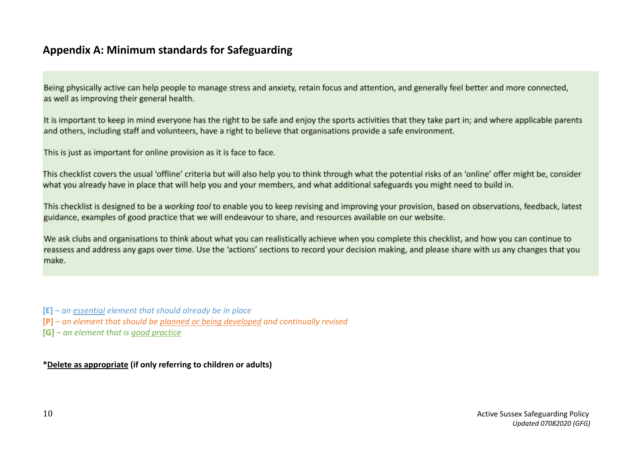# **Appendix A: Minimum standards for Safeguarding**

Being physically active can help people to manage stress and anxiety, retain focus and attention, and generally feel better and more connected, as well as improving their general health.

It is important to keep in mind everyone has the right to be safe and enjoy the sports activities that they take part in; and where applicable parents and others, including staff and volunteers, have a right to believe that organisations provide a safe environment.

This is just as important for online provision as it is face to face.

This checklist covers the usual 'offline' criteria but will also help you to think through what the potential risks of an 'online' offer might be, consider what you already have in place that will help you and your members, and what additional safeguards you might need to build in.

This checklist is designed to be a working tool to enable you to keep revising and improving your provision, based on observations, feedback, latest guidance, examples of good practice that we will endeavour to share, and resources available on our website.

We ask clubs and organisations to think about what you can realistically achieve when you complete this checklist, and how you can continue to reassess and address any gaps over time. Use the 'actions' sections to record your decision making, and please share with us any changes that you make.

**[E]** *– an essential element that should already be in place*

**[P]** *– an element that should be planned or being developed and continually revised*

**[G]** *– an element that is good practice*

**\*Delete as appropriate (if only referring to children or adults)**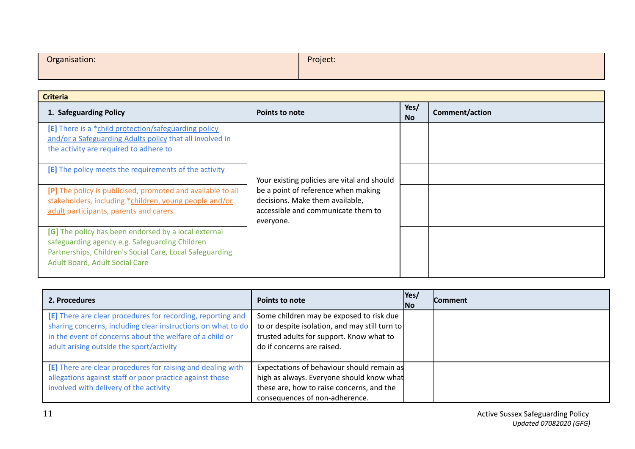| Organisation: | Project: |
|---------------|----------|
|               |          |

| <b>Criteria</b>                                                                                                                                                                                             |                                                                                                                           |                   |                       |
|-------------------------------------------------------------------------------------------------------------------------------------------------------------------------------------------------------------|---------------------------------------------------------------------------------------------------------------------------|-------------------|-----------------------|
| 1. Safeguarding Policy                                                                                                                                                                                      | <b>Points to note</b>                                                                                                     | Yes/<br><b>No</b> | <b>Comment/action</b> |
| [E] There is a *child protection/safeguarding policy<br>and/or a Safeguarding Adults policy that all involved in<br>the activity are required to adhere to                                                  |                                                                                                                           |                   |                       |
| [E] The policy meets the requirements of the activity                                                                                                                                                       | Your existing policies are vital and should                                                                               |                   |                       |
| [P] The policy is publicised, promoted and available to all<br>stakeholders, including *children, young people and/or<br>adult participants, parents and carers                                             | be a point of reference when making<br>decisions. Make them available,<br>accessible and communicate them to<br>everyone. |                   |                       |
| [G] The policy has been endorsed by a local external<br>safeguarding agency e.g. Safeguarding Children<br>Partnerships, Children's Social Care, Local Safeguarding<br><b>Adult Board, Adult Social Care</b> |                                                                                                                           |                   |                       |

| 2. Procedures                                                                                                                                                                                                                       | <b>Points to note</b>                                                                                                                                                  | Yes/<br><b>INo</b> | <b>Comment</b> |
|-------------------------------------------------------------------------------------------------------------------------------------------------------------------------------------------------------------------------------------|------------------------------------------------------------------------------------------------------------------------------------------------------------------------|--------------------|----------------|
| [E] There are clear procedures for recording, reporting and<br>sharing concerns, including clear instructions on what to do<br>in the event of concerns about the welfare of a child or<br>adult arising outside the sport/activity | Some children may be exposed to risk due<br>to or despite isolation, and may still turn to<br>trusted adults for support. Know what to<br>do if concerns are raised.   |                    |                |
| [E] There are clear procedures for raising and dealing with<br>allegations against staff or poor practice against those<br>involved with delivery of the activity                                                                   | Expectations of behaviour should remain as<br>high as always. Everyone should know what<br>these are, how to raise concerns, and the<br>consequences of non-adherence. |                    |                |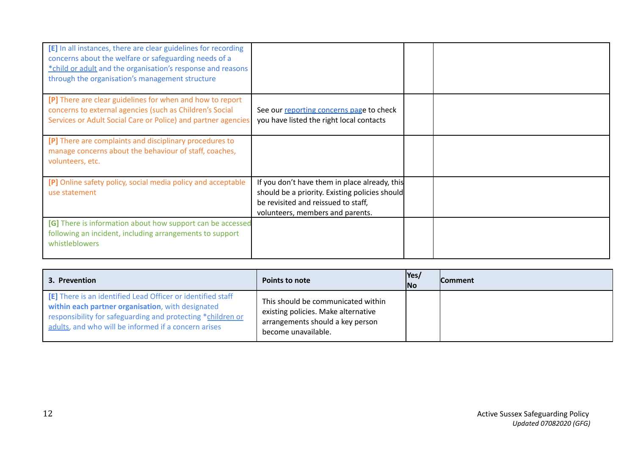| [E] In all instances, there are clear guidelines for recording<br>concerns about the welfare or safeguarding needs of a<br>*child or adult and the organisation's response and reasons<br>through the organisation's management structure |                                                                                                                                                                            |  |
|-------------------------------------------------------------------------------------------------------------------------------------------------------------------------------------------------------------------------------------------|----------------------------------------------------------------------------------------------------------------------------------------------------------------------------|--|
| [P] There are clear guidelines for when and how to report<br>concerns to external agencies (such as Children's Social<br>Services or Adult Social Care or Police) and partner agencies                                                    | See our reporting concerns page to check<br>you have listed the right local contacts                                                                                       |  |
| [P] There are complaints and disciplinary procedures to<br>manage concerns about the behaviour of staff, coaches,<br>volunteers, etc.                                                                                                     |                                                                                                                                                                            |  |
| [P] Online safety policy, social media policy and acceptable<br>use statement                                                                                                                                                             | If you don't have them in place already, this<br>should be a priority. Existing policies should<br>be revisited and reissued to staff,<br>volunteers, members and parents. |  |
| [G] There is information about how support can be accessed<br>following an incident, including arrangements to support<br>whistleblowers                                                                                                  |                                                                                                                                                                            |  |

| 3. Prevention                                                                                                                                                                                                                           | <b>Points to note</b>                                                                                                                | Yes/<br> No | <b>Comment</b> |
|-----------------------------------------------------------------------------------------------------------------------------------------------------------------------------------------------------------------------------------------|--------------------------------------------------------------------------------------------------------------------------------------|-------------|----------------|
| [E] There is an identified Lead Officer or identified staff<br>within each partner organisation, with designated<br>responsibility for safeguarding and protecting *children or<br>adults, and who will be informed if a concern arises | This should be communicated within<br>existing policies. Make alternative<br>arrangements should a key person<br>become unavailable. |             |                |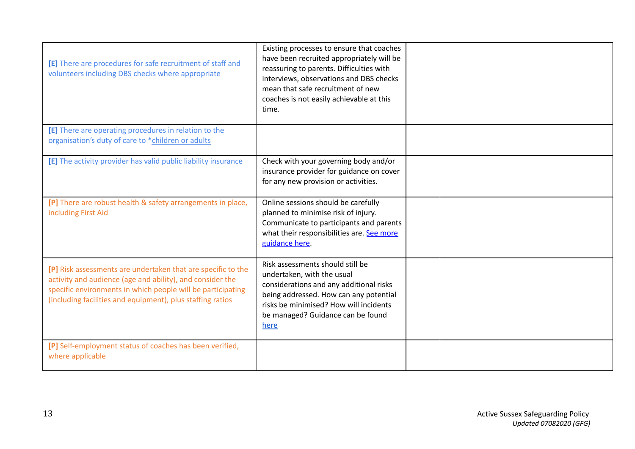| [E] There are procedures for safe recruitment of staff and<br>volunteers including DBS checks where appropriate                                                                                                                                        | Existing processes to ensure that coaches<br>have been recruited appropriately will be<br>reassuring to parents. Difficulties with<br>interviews, observations and DBS checks<br>mean that safe recruitment of new<br>coaches is not easily achievable at this<br>time. |  |
|--------------------------------------------------------------------------------------------------------------------------------------------------------------------------------------------------------------------------------------------------------|-------------------------------------------------------------------------------------------------------------------------------------------------------------------------------------------------------------------------------------------------------------------------|--|
| [E] There are operating procedures in relation to the<br>organisation's duty of care to *children or adults                                                                                                                                            |                                                                                                                                                                                                                                                                         |  |
| [E] The activity provider has valid public liability insurance                                                                                                                                                                                         | Check with your governing body and/or<br>insurance provider for guidance on cover<br>for any new provision or activities.                                                                                                                                               |  |
| [P] There are robust health & safety arrangements in place,<br>including First Aid                                                                                                                                                                     | Online sessions should be carefully<br>planned to minimise risk of injury.<br>Communicate to participants and parents<br>what their responsibilities are. See more<br>guidance here.                                                                                    |  |
| [P] Risk assessments are undertaken that are specific to the<br>activity and audience (age and ability), and consider the<br>specific environments in which people will be participating<br>(including facilities and equipment), plus staffing ratios | Risk assessments should still be<br>undertaken, with the usual<br>considerations and any additional risks<br>being addressed. How can any potential<br>risks be minimised? How will incidents<br>be managed? Guidance can be found<br>here                              |  |
| [P] Self-employment status of coaches has been verified,<br>where applicable                                                                                                                                                                           |                                                                                                                                                                                                                                                                         |  |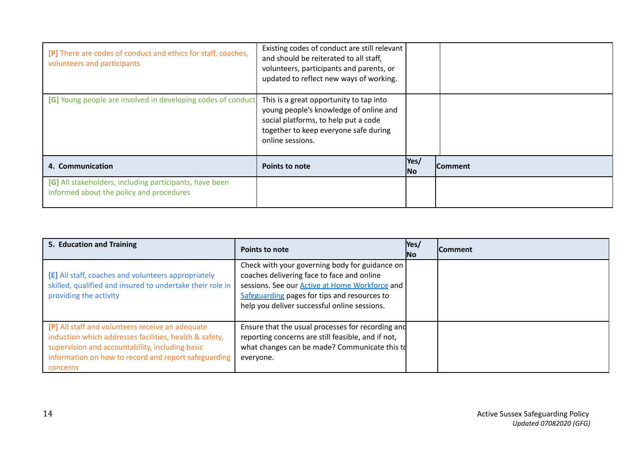| [P] There are codes of conduct and ethics for staff, coaches,<br>volunteers and participants        | Existing codes of conduct are still relevant<br>and should be reiterated to all staff,<br>volunteers, participants and parents, or<br>updated to reflect new ways of working.          |              |                |
|-----------------------------------------------------------------------------------------------------|----------------------------------------------------------------------------------------------------------------------------------------------------------------------------------------|--------------|----------------|
| [G] Young people are involved in developing codes of conduct                                        | This is a great opportunity to tap into<br>young people's knowledge of online and<br>social platforms, to help put a code<br>together to keep everyone safe during<br>online sessions. |              |                |
| 4. Communication                                                                                    | Points to note                                                                                                                                                                         | Yes/<br>INo. | <b>Comment</b> |
| [G] All stakeholders, including participants, have been<br>informed about the policy and procedures |                                                                                                                                                                                        |              |                |

| 5. Education and Training                                                                                                                                                                                                         | <b>Points to note</b>                                                                                                                                                                                                                                   | Yes/<br><b>No</b> | <b>Comment</b> |
|-----------------------------------------------------------------------------------------------------------------------------------------------------------------------------------------------------------------------------------|---------------------------------------------------------------------------------------------------------------------------------------------------------------------------------------------------------------------------------------------------------|-------------------|----------------|
| [E] All staff, coaches and volunteers appropriately<br>skilled, qualified and insured to undertake their role in<br>providing the activity                                                                                        | Check with your governing body for guidance on  <br>coaches delivering face to face and online<br>sessions. See our <b>Active at Home Workforce</b> and<br>Safeguarding pages for tips and resources to<br>help you deliver successful online sessions. |                   |                |
| [P] All staff and volunteers receive an adequate<br>induction which addresses facilities, health & safety,<br>supervision and accountability, including basic<br>information on how to record and report safeguarding<br>concerns | Ensure that the usual processes for recording and<br>reporting concerns are still feasible, and if not,<br>what changes can be made? Communicate this td<br>everyone.                                                                                   |                   |                |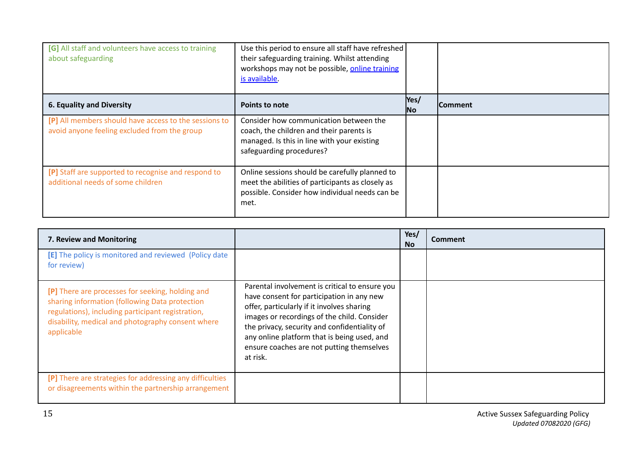| [G] All staff and volunteers have access to training<br>about safeguarding                            | Use this period to ensure all staff have refreshed<br>their safeguarding training. Whilst attending<br>workshops may not be possible, online training<br>is available. |                   |                |
|-------------------------------------------------------------------------------------------------------|------------------------------------------------------------------------------------------------------------------------------------------------------------------------|-------------------|----------------|
| 6. Equality and Diversity                                                                             | Points to note                                                                                                                                                         | Yes/<br><b>No</b> | <b>Comment</b> |
| [P] All members should have access to the sessions to<br>avoid anyone feeling excluded from the group | Consider how communication between the<br>coach, the children and their parents is<br>managed. Is this in line with your existing<br>safeguarding procedures?          |                   |                |
| [P] Staff are supported to recognise and respond to<br>additional needs of some children              | Online sessions should be carefully planned to<br>meet the abilities of participants as closely as<br>possible. Consider how individual needs can be<br>met.           |                   |                |

| 7. Review and Monitoring                                                                                                                                                                                                   |                                                                                                                                                                                                                                                                                                                                                  | Yes/<br><b>No</b> | <b>Comment</b> |
|----------------------------------------------------------------------------------------------------------------------------------------------------------------------------------------------------------------------------|--------------------------------------------------------------------------------------------------------------------------------------------------------------------------------------------------------------------------------------------------------------------------------------------------------------------------------------------------|-------------------|----------------|
| [E] The policy is monitored and reviewed (Policy date<br>for review)                                                                                                                                                       |                                                                                                                                                                                                                                                                                                                                                  |                   |                |
| [P] There are processes for seeking, holding and<br>sharing information (following Data protection<br>regulations), including participant registration,<br>disability, medical and photography consent where<br>applicable | Parental involvement is critical to ensure you<br>have consent for participation in any new<br>offer, particularly if it involves sharing<br>images or recordings of the child. Consider<br>the privacy, security and confidentiality of<br>any online platform that is being used, and<br>ensure coaches are not putting themselves<br>at risk. |                   |                |
| [P] There are strategies for addressing any difficulties<br>or disagreements within the partnership arrangement                                                                                                            |                                                                                                                                                                                                                                                                                                                                                  |                   |                |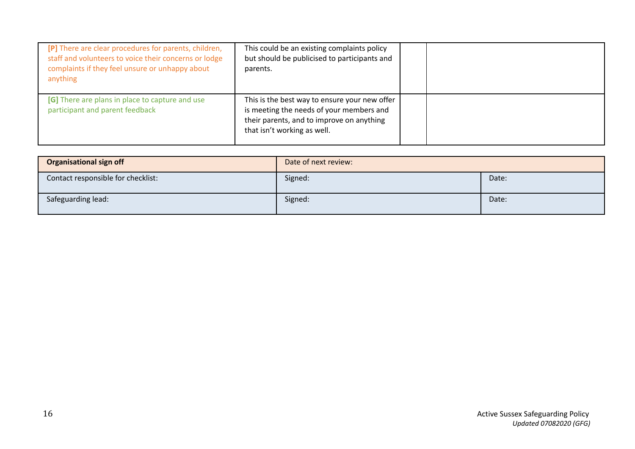| [P] There are clear procedures for parents, children,<br>staff and volunteers to voice their concerns or lodge<br>complaints if they feel unsure or unhappy about<br>anything | This could be an existing complaints policy<br>but should be publicised to participants and<br>parents.                                                               |  |
|-------------------------------------------------------------------------------------------------------------------------------------------------------------------------------|-----------------------------------------------------------------------------------------------------------------------------------------------------------------------|--|
| [G] There are plans in place to capture and use<br>participant and parent feedback                                                                                            | This is the best way to ensure your new offer<br>is meeting the needs of your members and<br>their parents, and to improve on anything<br>that isn't working as well. |  |

| <b>Organisational sign off</b>     | Date of next review: |       |
|------------------------------------|----------------------|-------|
| Contact responsible for checklist: | Signed:              | Date: |
| Safeguarding lead:                 | Signed:              | Date: |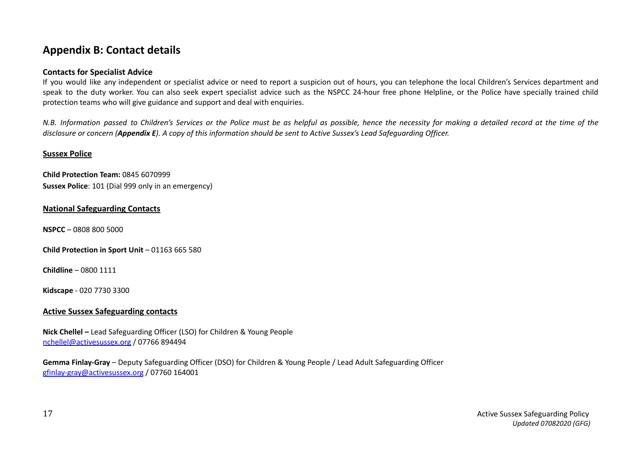# **Appendix B: Contact details**

## **Contacts for Specialist Advice**

If you would like any independent or specialist advice or need to report a suspicion out of hours, you can telephone the local Children's Services department and speak to the duty worker. You can also seek expert specialist advice such as the NSPCC 24-hour free phone Helpline, or the Police have specially trained child protection teams who will give guidance and support and deal with enquiries.

N.B. Information passed to Children's Services or the Police must be as helpful as possible, hence the necessity for making a detailed record at the time of the disclosure or concern (Appendix E). A copy of this information should be sent to Active Sussex's Lead Safeauardina Officer.

## **Sussex Police**

**Child Protection Team:** 0845 6070999 **Sussex Police**: 101 (Dial 999 only in an emergency)

#### **National Safeguarding Contacts**

**[NSPCC](http://www.nspcc.org.uk/)** – 0808 800 5000

**Child [Protection](http://www.thecpsu.org.uk/) in Sport Unit** – 01163 665 580

**[Childline](http://www.childline.org.uk/)** – 0800 1111

**[Kidscape](http://www.kidscape.org.uk/)** - 020 7730 3300

## **Active Sussex Safeguarding contacts**

**Nick Chellel –** Lead Safeguarding Officer (LSO) for Children & Young People [nchellel@activesussex.org](mailto:nchellel@activesussex.org) / 07766 894494

**Gemma Finlay-Gray** – Deputy Safeguarding Officer (DSO) for Children & Young People / Lead Adult Safeguarding Officer [gfinlay-gray@activesussex.org](mailto:gfinlay-gray@activesussex.org) / 07760 164001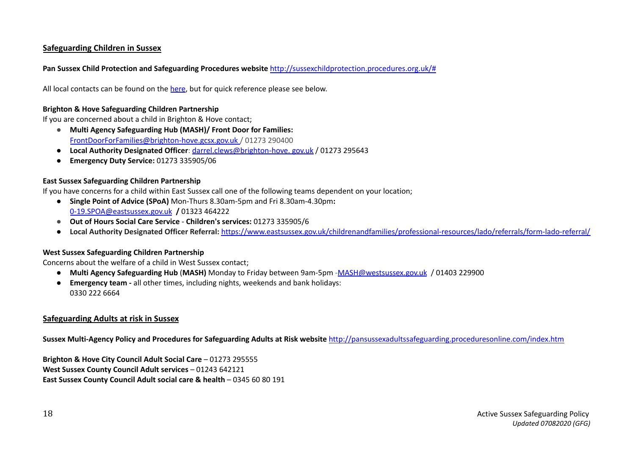## **Safeguarding Children in Sussex**

## **Pan Sussex Child Protection and [Safeguarding](http://sussexchildprotection.procedures.org.uk/) Procedures website** [http://sussexchildprotection.procedures.org.uk/#](http://sussexchildprotection.procedures.org.uk/)

All local contacts can be found on the [here](http://sussexchildprotection.procedures.org.uk/yqkth/appendices/local-contact-details), but for quick reference please see below.

#### **Brighton & Hove [Safeguarding](http://www.brightonandhovelscb.org.uk/) Children Partnership**

If you are concerned about a child in Brighton & Hove contact;

- **Multi Agency Safeguarding Hub (MASH)/ Front Door for Families:** [FrontDoorForFamilies@brighton-hove.gcsx.gov.uk](mailto:FrontDoorForFamilies@brighton-hove.gcsx.gov.uk%20) / 01273 290400
- **Local Authority Designated Officer**: darrel.clews@brighton-hove. gov.uk / 01273 295643
- **Emergency Duty Service:** 01273 335905/06

#### **East Sussex [Safeguarding](http://www.eastsussexlscb.org.uk/) Children Partnership**

If you have concerns for a child within East Sussex call one of the following teams dependent on your location;

- **● Single Point of Advice (SPoA)** Mon-Thurs 8.30am-5pm and Fri 8.30am-4.30pm**:** [0-19.SPOA@eastsussex.gov.uk](mailto:0-19.SPOA@eastsussex.gov.uk) **/** 01323 464222
- **Out of Hours Social Care Service Children's services:** 01273 335905/6
- **Local Authority Designated Officer Referral:** <https://www.eastsussex.gov.uk/childrenandfamilies/professional-resources/lado/referrals/form-lado-referral/>

#### **West Sussex [Safeguarding](http://www.westsussexscb.org.uk/children-young-people/) Children Partnership**

Concerns about the welfare of a child in West Sussex contact;

- **Multi Agency Safeguarding Hub** (**MASH)** Monday to Friday between 9am-5pm -[MASH@westsussex.gov.uk](mailto:MASH@westsussex.gov.uk) / 01403 229900
- **Emergency team -** all other times, including nights, weekends and bank holidays: 0330 222 6664

## **Safeguarding Adults at risk in Sussex**

**Sussex [Multi-Agency](http://pansussexadultssafeguarding.proceduresonline.com/index.htm) Policy and Procedures for Safeguarding Adults at Risk website** <http://pansussexadultssafeguarding.proceduresonline.com/index.htm>

**[Brighton](http://www.brighton-hove.gov.uk/content/health-and-social-care/safeguarding-adults-risk) & Hove City Council Adult Social Care** – 01273 295555 **West Sussex County [Council](https://www.westsussex.gov.uk/social-care-and-health/social-care-and-health-information-for-professionals/adult-safeguarding-guidance-for-social-care-professionals/) Adult services** – 01243 642121 **East Sussex County [Council](https://new.eastsussex.gov.uk/socialcare/worried/report/) Adult social care & health** – 0345 60 80 191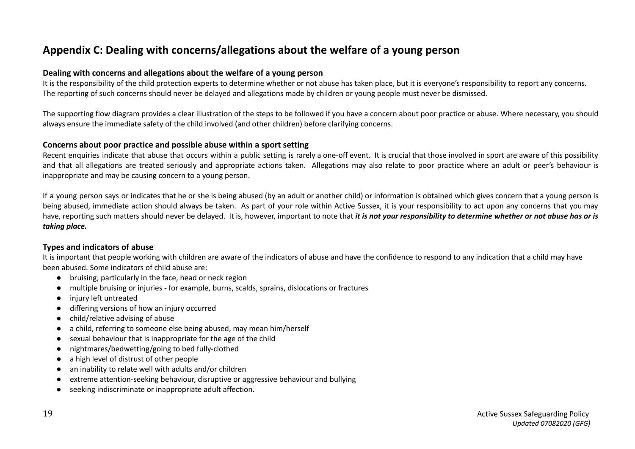# **Appendix C: Dealing with concerns/allegations about the welfare of a young person**

#### **Dealing with concerns and allegations about the welfare of a young person**

It is the responsibility of the child protection experts to determine whether or not abuse has taken place, but it is everyone's responsibility to report any concerns. The reporting of such concerns should never be delayed and allegations made by children or young people must never be dismissed.

The supporting flow diagram provides a clear illustration of the steps to be followed if you have a concern about poor practice or abuse. Where necessary, you should always ensure the immediate safety of the child involved (and other children) before clarifying concerns.

#### **Concerns about poor practice and possible abuse within a sport setting**

Recent enquiries indicate that abuse that occurs within a public setting is rarely a one-off event. It is crucial that those involved in sport are aware of this possibility and that all allegations are treated seriously and appropriate actions taken. Allegations may also relate to poor practice where an adult or peer's behaviour is inappropriate and may be causing concern to a young person.

If a young person says or indicates that he or she is being abused (by an adult or another child) or information is obtained which gives concern that a young person is being abused, immediate action should always be taken. As part of your role within Active Sussex, it is your responsibility to act upon any concerns that you may have, reporting such matters should never be delayed. It is, however, important to note that it is not your responsibility to determine whether or not abuse has or is *taking place.*

#### **Types and indicators of abuse**

It is important that people working with children are aware of the indicators of abuse and have the confidence to respond to any indication that a child may have been abused. Some indicators of child abuse are:

- bruising, particularly in the face, head or neck region
- multiple bruising or injuries for example, burns, scalds, sprains, dislocations or fractures
- injury left untreated
- differing versions of how an injury occurred
- child/relative advising of abuse
- a child, referring to someone else being abused, may mean him/herself
- sexual behaviour that is inappropriate for the age of the child
- nightmares/bedwetting/going to bed fully-clothed
- a high level of distrust of other people
- an inability to relate well with adults and/or children
- extreme attention-seeking behaviour, disruptive or aggressive behaviour and bullying
- seeking indiscriminate or inappropriate adult affection.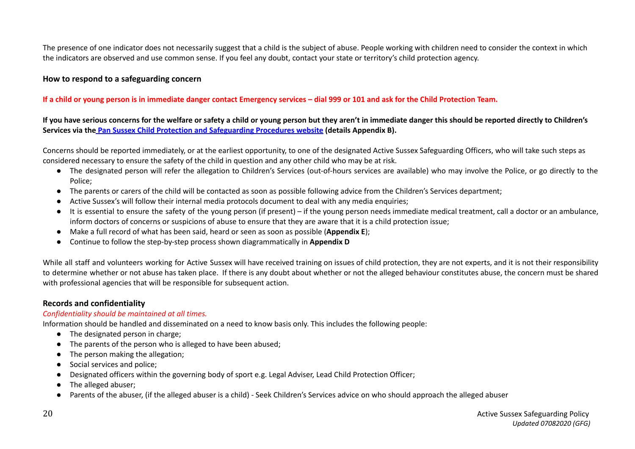The presence of one indicator does not necessarily suggest that a child is the subject of abuse. People working with children need to consider the context in which the indicators are observed and use common sense. If you feel any doubt, contact your state or territory's child protection agency.

## **How to respond to a safeguarding concern**

#### If a child or young person is in immediate danger contact Emergency services - dial 999 or 101 and ask for the Child Protection Team.

If you have serious concerns for the welfare or safety a child or young person but they aren't in immediate danger this should be reported directly to Children's **Services via the Pan Sussex Child Protection and [Safeguarding](http://sussexchildprotection.procedures.org.uk/) Procedures website (details Appendix B).**

Concerns should be reported immediately, or at the earliest opportunity, to one of the designated Active Sussex Safeguarding Officers, who will take such steps as considered necessary to ensure the safety of the child in question and any other child who may be at risk.

- The designated person will refer the allegation to Children's Services (out-of-hours services are available) who may involve the Police, or go directly to the Police;
- The parents or carers of the child will be contacted as soon as possible following advice from the Children's Services department;
- Active Sussex's will follow their internal media protocols document to deal with any media enquiries;
- It is essential to ensure the safety of the young person (if present) if the young person needs immediate medical treatment, call a doctor or an ambulance, inform doctors of concerns or suspicions of abuse to ensure that they are aware that it is a child protection issue;
- Make a full record of what has been said, heard or seen as soon as possible (**Appendix E**);
- Continue to follow the step-by-step process shown diagrammatically in **Appendix D**

While all staff and volunteers working for Active Sussex will have received training on issues of child protection, they are not experts, and it is not their responsibility to determine whether or not abuse has taken place. If there is any doubt about whether or not the alleged behaviour constitutes abuse, the concern must be shared with professional agencies that will be responsible for subsequent action.

## **Records and confidentiality**

#### *Confidentiality should be maintained at all times.*

Information should be handled and disseminated on a need to know basis only. This includes the following people:

- The designated person in charge;
- The parents of the person who is alleged to have been abused;
- The person making the allegation;
- Social services and police;
- Designated officers within the governing body of sport e.g. Legal Adviser, Lead Child Protection Officer;
- The alleged abuser;
- Parents of the abuser, (if the alleged abuser is a child) Seek Children's Services advice on who should approach the alleged abuser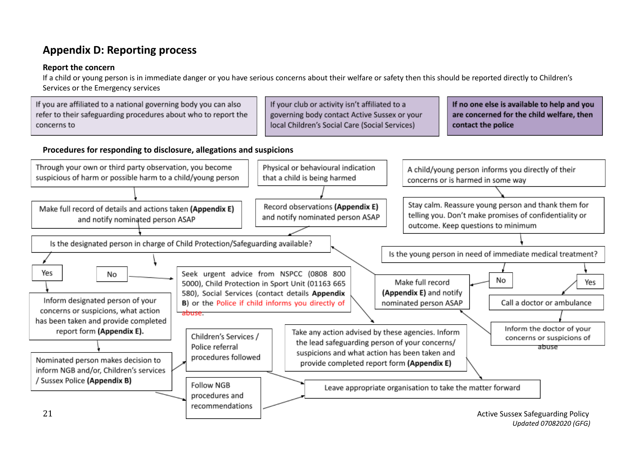# **Appendix D: Reporting process**

## **Report the concern**

If a child or young person is in immediate danger or you have serious concerns about their welfare or safety then this should be reported directly to Children's Services or the Emergency services

|             | If you are affiliated to a national governing body you can also | If your club or activity isn't affiliated to a | If no one else is available to help and you |
|-------------|-----------------------------------------------------------------|------------------------------------------------|---------------------------------------------|
|             | refer to their safeguarding procedures about who to report the  | governing body contact Active Sussex or your   | are concerned for the child welfare, then   |
| concerns to |                                                                 | local Children's Social Care (Social Services) | contact the police                          |
|             |                                                                 |                                                |                                             |

## **Procedures for responding to disclosure, allegations and suspicions**



*Updated 07082020 (GFG)*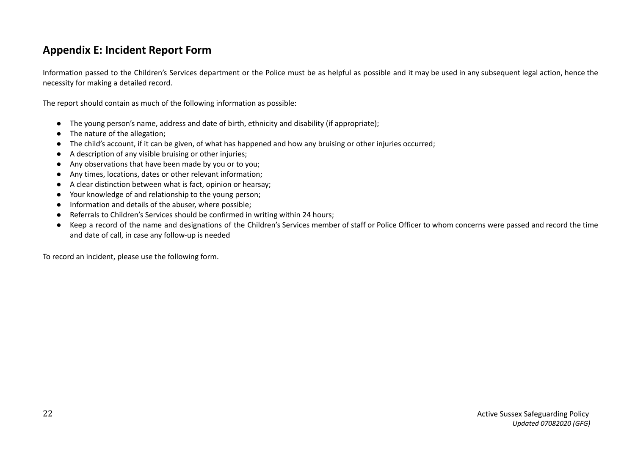# **Appendix E: Incident Report Form**

Information passed to the Children's Services department or the Police must be as helpful as possible and it may be used in any subsequent legal action, hence the necessity for making a detailed record.

The report should contain as much of the following information as possible:

- The young person's name, address and date of birth, ethnicity and disability (if appropriate);
- The nature of the allegation;
- The child's account, if it can be given, of what has happened and how any bruising or other injuries occurred;
- A description of any visible bruising or other injuries;
- Any observations that have been made by you or to you;
- Any times, locations, dates or other relevant information;
- A clear distinction between what is fact, opinion or hearsay;
- Your knowledge of and relationship to the young person;
- Information and details of the abuser, where possible;
- Referrals to Children's Services should be confirmed in writing within 24 hours;
- Keep a record of the name and designations of the Children's Services member of staff or Police Officer to whom concerns were passed and record the time and date of call, in case any follow-up is needed

To record an incident, please use the following form.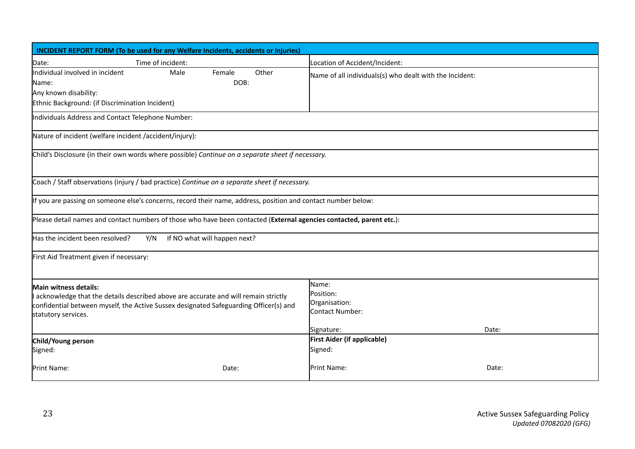| <b>INCIDENT REPORT FORM (To be used for any Welfare Incidents, accidents or injuries)</b>                                                                                                                                   |                   |                              |       |                                                                      |       |
|-----------------------------------------------------------------------------------------------------------------------------------------------------------------------------------------------------------------------------|-------------------|------------------------------|-------|----------------------------------------------------------------------|-------|
| Date:                                                                                                                                                                                                                       | Time of incident: |                              |       | Location of Accident/Incident:                                       |       |
| Individual involved in incident<br>Name:                                                                                                                                                                                    | Male              | Female<br>DOB:               | Other | Name of all individuals(s) who dealt with the Incident:              |       |
| Any known disability:<br>Ethnic Background: (if Discrimination Incident)                                                                                                                                                    |                   |                              |       |                                                                      |       |
| Individuals Address and Contact Telephone Number:                                                                                                                                                                           |                   |                              |       |                                                                      |       |
| Nature of incident (welfare incident /accident/injury):                                                                                                                                                                     |                   |                              |       |                                                                      |       |
| Child's Disclosure (in their own words where possible) Continue on a separate sheet if necessary.                                                                                                                           |                   |                              |       |                                                                      |       |
| Coach / Staff observations (injury / bad practice) Continue on a separate sheet if necessary.                                                                                                                               |                   |                              |       |                                                                      |       |
| If you are passing on someone else's concerns, record their name, address, position and contact number below:                                                                                                               |                   |                              |       |                                                                      |       |
| Please detail names and contact numbers of those who have been contacted (External agencies contacted, parent etc.):                                                                                                        |                   |                              |       |                                                                      |       |
| Has the incident been resolved?                                                                                                                                                                                             | Y/N               | If NO what will happen next? |       |                                                                      |       |
| First Aid Treatment given if necessary:                                                                                                                                                                                     |                   |                              |       |                                                                      |       |
| Main witness details:<br>acknowledge that the details described above are accurate and will remain strictly<br>confidential between myself, the Active Sussex designated Safeguarding Officer(s) and<br>statutory services. |                   |                              |       | Name:<br>Position:<br>Organisation:<br>Contact Number:<br>Signature: | Date: |
|                                                                                                                                                                                                                             |                   |                              |       | <b>First Aider (if applicable)</b>                                   |       |
| Child/Young person<br>Signed:                                                                                                                                                                                               |                   |                              |       | Signed:                                                              |       |
| Print Name:                                                                                                                                                                                                                 |                   | Date:                        |       | Print Name:                                                          | Date: |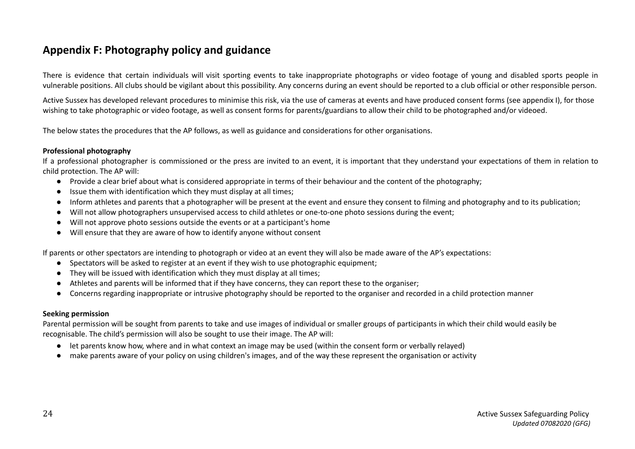# **Appendix F: Photography policy and guidance**

There is evidence that certain individuals will visit sporting events to take inappropriate photographs or video footage of young and disabled sports people in vulnerable positions. All clubs should be vigilant about this possibility. Any concerns during an event should be reported to a club official or other responsible person.

Active Sussex has developed relevant procedures to minimise this risk, via the use of cameras at events and have produced consent forms (see appendix I), for those wishing to take photographic or video footage, as well as consent forms for parents/guardians to allow their child to be photographed and/or videoed.

The below states the procedures that the AP follows, as well as guidance and considerations for other organisations.

#### **Professional photography**

If a professional photographer is commissioned or the press are invited to an event, it is important that they understand your expectations of them in relation to child protection. The AP will:

- Provide a clear brief about what is considered appropriate in terms of their behaviour and the content of the photography;
- Issue them with identification which they must display at all times;
- Inform athletes and parents that a photographer will be present at the event and ensure they consent to filming and photography and to its publication;
- Will not allow photographers unsupervised access to child athletes or one-to-one photo sessions during the event;
- Will not approve photo sessions outside the events or at a participant's home
- Will ensure that they are aware of how to identify anyone without consent

If parents or other spectators are intending to photograph or video at an event they will also be made aware of the AP's expectations:

- Spectators will be asked to register at an event if they wish to use photographic equipment;
- They will be issued with identification which they must display at all times;
- Athletes and parents will be informed that if they have concerns, they can report these to the organiser;
- Concerns regarding inappropriate or intrusive photography should be reported to the organiser and recorded in a child protection manner

#### **Seeking permission**

Parental permission will be sought from parents to take and use images of individual or smaller groups of participants in which their child would easily be recognisable. The child's permission will also be sought to use their image. The AP will:

- let parents know how, where and in what context an image may be used (within the consent form or verbally relayed)
- make parents aware of your policy on using children's images, and of the way these represent the organisation or activity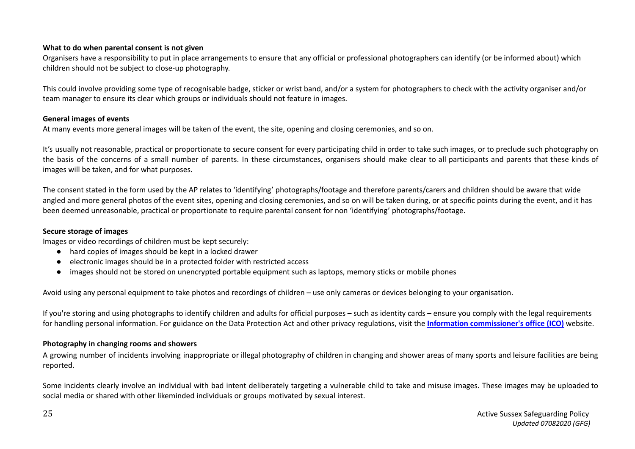# **What to do when parental consent is not given**

Organisers have a responsibility to put in place arrangements to ensure that any official or professional photographers can identify (or be informed about) which children should not be subject to close-up photography.

This could involve providing some type of recognisable badge, sticker or wrist band, and/or a system for photographers to check with the activity organiser and/or team manager to ensure its clear which groups or individuals should not feature in images.

# **General images of events**

At many events more general images will be taken of the event, the site, opening and closing ceremonies, and so on.

It's usually not reasonable, practical or proportionate to secure consent for every participating child in order to take such images, or to preclude such photography on the basis of the concerns of a small number of parents. In these circumstances, organisers should make clear to all participants and parents that these kinds of images will be taken, and for what purposes.

The consent stated in the form used by the AP relates to 'identifying' photographs/footage and therefore parents/carers and children should be aware that wide angled and more general photos of the event sites, opening and closing ceremonies, and so on will be taken during, or at specific points during the event, and it has been deemed unreasonable, practical or proportionate to require parental consent for non 'identifying' photographs/footage.

## **Secure storage of images**

Images or video recordings of children must be kept securely:

- hard copies of images should be kept in a locked drawer
- electronic images should be in a protected folder with restricted access
- images should not be stored on unencrypted portable equipment such as laptops, memory sticks or mobile phones

Avoid using any personal equipment to take photos and recordings of children – use only cameras or devices belonging to your organisation.

If you're storing and using photographs to identify children and adults for official purposes – such as identity cards – ensure you comply with the legal requirements for handling personal information. For guidance on the Data Protection Act and other privacy regulations, visit the **Information [commissioner's](https://ico.org.uk/) office (ICO)** website.

# **Photography in changing rooms and showers**

A growing number of incidents involving inappropriate or illegal photography of children in changing and shower areas of many sports and leisure facilities are being reported.

Some incidents clearly involve an individual with bad intent deliberately targeting a vulnerable child to take and misuse images. These images may be uploaded to social media or shared with other likeminded individuals or groups motivated by sexual interest.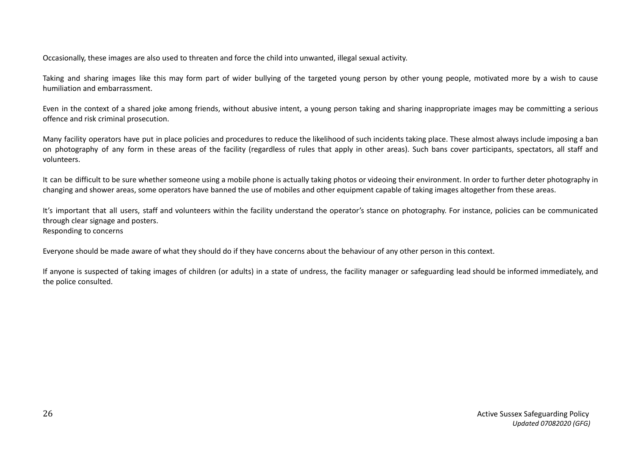Occasionally, these images are also used to threaten and force the child into unwanted, illegal sexual activity.

Taking and sharing images like this may form part of wider bullying of the targeted young person by other young people, motivated more by a wish to cause humiliation and embarrassment.

Even in the context of a shared joke among friends, without abusive intent, a young person taking and sharing inappropriate images may be committing a serious offence and risk criminal prosecution.

Many facility operators have put in place policies and procedures to reduce the likelihood of such incidents taking place. These almost always include imposing a ban on photography of any form in these areas of the facility (regardless of rules that apply in other areas). Such bans cover participants, spectators, all staff and volunteers.

It can be difficult to be sure whether someone using a mobile phone is actually taking photos or videoing their environment. In order to further deter photography in changing and shower areas, some operators have banned the use of mobiles and other equipment capable of taking images altogether from these areas.

It's important that all users, staff and volunteers within the facility understand the operator's stance on photography. For instance, policies can be communicated through clear signage and posters. Responding to concerns

Everyone should be made aware of what they should do if they have concerns about the behaviour of any other person in this context.

If anyone is suspected of taking images of children (or adults) in a state of undress, the facility manager or safeguarding lead should be informed immediately, and the police consulted.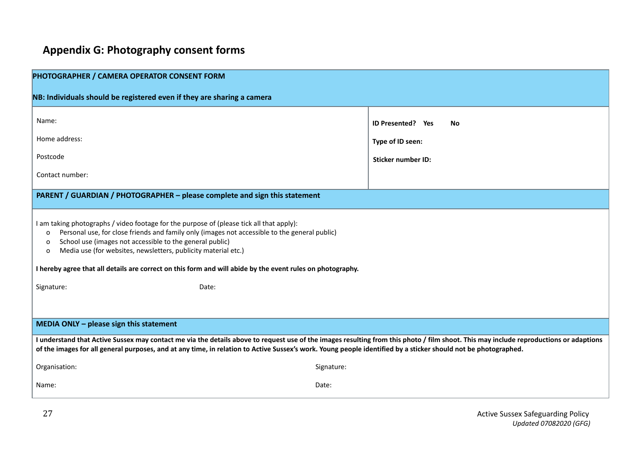# **Appendix G: Photography consent forms**

| PHOTOGRAPHER / CAMERA OPERATOR CONSENT FORM                                                                                                                                                                                                                                                                                                                                                                                                                |                                |  |  |  |
|------------------------------------------------------------------------------------------------------------------------------------------------------------------------------------------------------------------------------------------------------------------------------------------------------------------------------------------------------------------------------------------------------------------------------------------------------------|--------------------------------|--|--|--|
|                                                                                                                                                                                                                                                                                                                                                                                                                                                            |                                |  |  |  |
| NB: Individuals should be registered even if they are sharing a camera                                                                                                                                                                                                                                                                                                                                                                                     |                                |  |  |  |
| Name:                                                                                                                                                                                                                                                                                                                                                                                                                                                      | <b>ID Presented?</b> Yes<br>No |  |  |  |
| Home address:                                                                                                                                                                                                                                                                                                                                                                                                                                              | Type of ID seen:               |  |  |  |
| Postcode                                                                                                                                                                                                                                                                                                                                                                                                                                                   | <b>Sticker number ID:</b>      |  |  |  |
| Contact number:                                                                                                                                                                                                                                                                                                                                                                                                                                            |                                |  |  |  |
| PARENT / GUARDIAN / PHOTOGRAPHER - please complete and sign this statement                                                                                                                                                                                                                                                                                                                                                                                 |                                |  |  |  |
| I am taking photographs / video footage for the purpose of (please tick all that apply):<br>Personal use, for close friends and family only (images not accessible to the general public)<br>$\circ$<br>School use (images not accessible to the general public)<br>0<br>Media use (for websites, newsletters, publicity material etc.)<br>o<br>I hereby agree that all details are correct on this form and will abide by the event rules on photography. |                                |  |  |  |
| Signature:<br>Date:                                                                                                                                                                                                                                                                                                                                                                                                                                        |                                |  |  |  |
| MEDIA ONLY - please sign this statement                                                                                                                                                                                                                                                                                                                                                                                                                    |                                |  |  |  |
|                                                                                                                                                                                                                                                                                                                                                                                                                                                            |                                |  |  |  |
| I understand that Active Sussex may contact me via the details above to request use of the images resulting from this photo / film shoot. This may include reproductions or adaptions<br>of the images for all general purposes, and at any time, in relation to Active Sussex's work. Young people identified by a sticker should not be photographed.                                                                                                    |                                |  |  |  |
| Organisation:                                                                                                                                                                                                                                                                                                                                                                                                                                              | Signature:                     |  |  |  |
| Date:<br>Name:                                                                                                                                                                                                                                                                                                                                                                                                                                             |                                |  |  |  |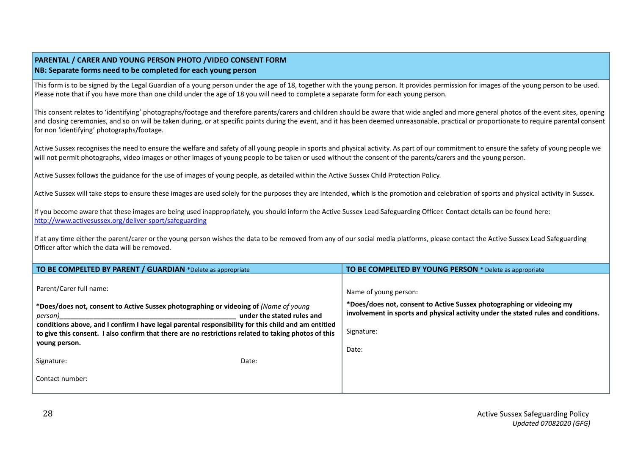#### **PARENTAL / CARER AND YOUNG PERSON PHOTO /VIDEO CONSENT FORM NB: Separate forms need to be completed for each young person**

This form is to be signed by the Legal Guardian of a young person under the age of 18, together with the young person. It provides permission for images of the young person to be used. Please note that if you have more than one child under the age of 18 you will need to complete a separate form for each young person.

This consent relates to 'identifying' photographs/footage and therefore parents/carers and children should be aware that wide angled and more general photos of the event sites, opening and closing ceremonies, and so on will be taken during, or at specific points during the event, and it has been deemed unreasonable, practical or proportionate to require parental consent for non 'identifying' photographs/footage.

Active Sussex recognises the need to ensure the welfare and safety of all young people in sports and physical activity. As part of our commitment to ensure the safety of young people we will not permit photographs, video images or other images of young people to be taken or used without the consent of the parents/carers and the young person.

Active Sussex follows the guidance for the use of images of young people, as detailed within the Active Sussex Child Protection Policy.

Active Sussex will take steps to ensure these images are used solely for the purposes they are intended, which is the promotion and celebration of sports and physical activity in Sussex.

If you become aware that these images are being used inappropriately, you should inform the Active Sussex Lead Safeguarding Officer. Contact details can be found here: <http://www.activesussex.org/deliver-sport/safeguarding>

If at any time either the parent/carer or the young person wishes the data to be removed from any of our social media platforms, please contact the Active Sussex Lead Safeguarding Officer after which the data will be removed.

| TO BE COMPELTED BY PARENT / GUARDIAN *Delete as appropriate                                                                                                                                                                                                                                                                                                   |       | <b>TO BE COMPELTED BY YOUNG PERSON</b> * Delete as appropriate                                                                                              |
|---------------------------------------------------------------------------------------------------------------------------------------------------------------------------------------------------------------------------------------------------------------------------------------------------------------------------------------------------------------|-------|-------------------------------------------------------------------------------------------------------------------------------------------------------------|
| Parent/Carer full name:                                                                                                                                                                                                                                                                                                                                       |       | Name of young person:                                                                                                                                       |
| *Does/does not, consent to Active Sussex photographing or videoing of (Name of young<br>under the stated rules and<br>person)<br>conditions above, and I confirm I have legal parental responsibility for this child and am entitled<br>to give this consent. I also confirm that there are no restrictions related to taking photos of this<br>young person. |       | *Does/does not, consent to Active Sussex photographing or videoing my<br>involvement in sports and physical activity under the stated rules and conditions. |
|                                                                                                                                                                                                                                                                                                                                                               |       | Signature:                                                                                                                                                  |
|                                                                                                                                                                                                                                                                                                                                                               |       | Date:                                                                                                                                                       |
| Signature:                                                                                                                                                                                                                                                                                                                                                    | Date: |                                                                                                                                                             |
| Contact number:                                                                                                                                                                                                                                                                                                                                               |       |                                                                                                                                                             |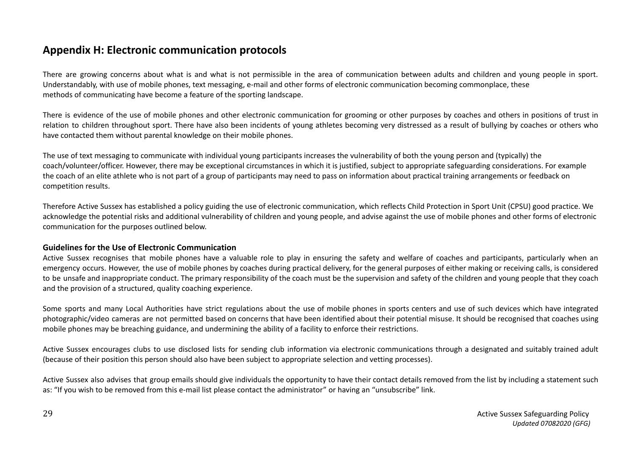# **Appendix H: Electronic communication protocols**

There are growing concerns about what is and what is not permissible in the area of communication between adults and children and young people in sport. Understandably, with use of mobile phones, text messaging, e-mail and other forms of electronic communication becoming commonplace, these methods of communicating have become a feature of the sporting landscape.

There is evidence of the use of mobile phones and other electronic communication for grooming or other purposes by coaches and others in positions of trust in relation to children throughout sport. There have also been incidents of young athletes becoming very distressed as a result of bullying by coaches or others who have contacted them without parental knowledge on their mobile phones.

The use of text messaging to communicate with individual young participants increases the vulnerability of both the young person and (typically) the coach/volunteer/officer. However, there may be exceptional circumstances in which it is justified, subject to appropriate safeguarding considerations. For example the coach of an elite athlete who is not part of a group of participants may need to pass on information about practical training arrangements or feedback on competition results.

Therefore Active Sussex has established a policy guiding the use of electronic communication, which reflects Child Protection in Sport Unit (CPSU) good practice. We acknowledge the potential risks and additional vulnerability of children and young people, and advise against the use of mobile phones and other forms of electronic communication for the purposes outlined below.

#### **Guidelines for the Use of Electronic Communication**

Active Sussex recognises that mobile phones have a valuable role to play in ensuring the safety and welfare of coaches and participants, particularly when an emergency occurs. However, the use of mobile phones by coaches during practical delivery, for the general purposes of either making or receiving calls, is considered to be unsafe and inappropriate conduct. The primary responsibility of the coach must be the supervision and safety of the children and young people that they coach and the provision of a structured, quality coaching experience.

Some sports and many Local Authorities have strict regulations about the use of mobile phones in sports centers and use of such devices which have integrated photographic/video cameras are not permitted based on concerns that have been identified about their potential misuse. It should be recognised that coaches using mobile phones may be breaching guidance, and undermining the ability of a facility to enforce their restrictions.

Active Sussex encourages clubs to use disclosed lists for sending club information via electronic communications through a designated and suitably trained adult (because of their position this person should also have been subject to appropriate selection and vetting processes).

Active Sussex also advises that group emails should give individuals the opportunity to have their contact details removed from the list by including a statement such as: "If you wish to be removed from this e-mail list please contact the administrator" or having an "unsubscribe" link.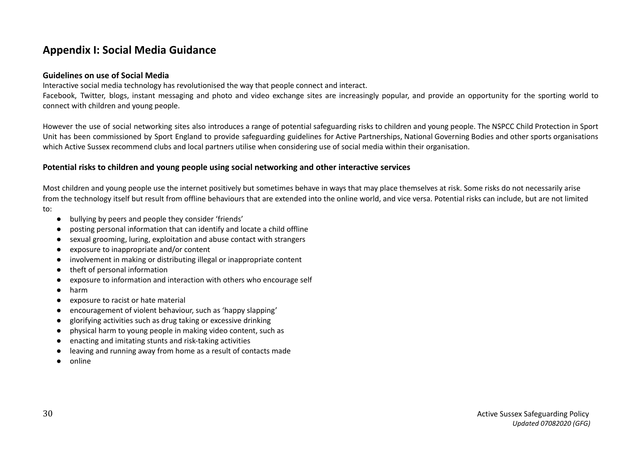# **Appendix I: Social Media Guidance**

#### **Guidelines on use of Social Media**

Interactive social media technology has revolutionised the way that people connect and interact.

Facebook, Twitter, blogs, instant messaging and photo and video exchange sites are increasingly popular, and provide an opportunity for the sporting world to connect with children and young people.

However the use of social networking sites also introduces a range of potential safeguarding risks to children and young people. The NSPCC Child Protection in Sport Unit has been commissioned by Sport England to provide safeguarding guidelines for Active Partnerships, National Governing Bodies and other sports organisations which Active Sussex recommend clubs and local partners utilise when considering use of social media within their organisation.

## **Potential risks to children and young people using social networking and other interactive services**

Most children and young people use the internet positively but sometimes behave in ways that may place themselves at risk. Some risks do not necessarily arise from the technology itself but result from offline behaviours that are extended into the online world, and vice versa. Potential risks can include, but are not limited to:

- bullying by peers and people they consider 'friends'
- posting personal information that can identify and locate a child offline
- sexual grooming, luring, exploitation and abuse contact with strangers
- exposure to inappropriate and/or content
- involvement in making or distributing illegal or inappropriate content
- theft of personal information
- exposure to information and interaction with others who encourage self
- harm
- exposure to racist or hate material
- encouragement of violent behaviour, such as 'happy slapping'
- glorifying activities such as drug taking or excessive drinking
- physical harm to young people in making video content, such as
- enacting and imitating stunts and risk-taking activities
- leaving and running away from home as a result of contacts made
- online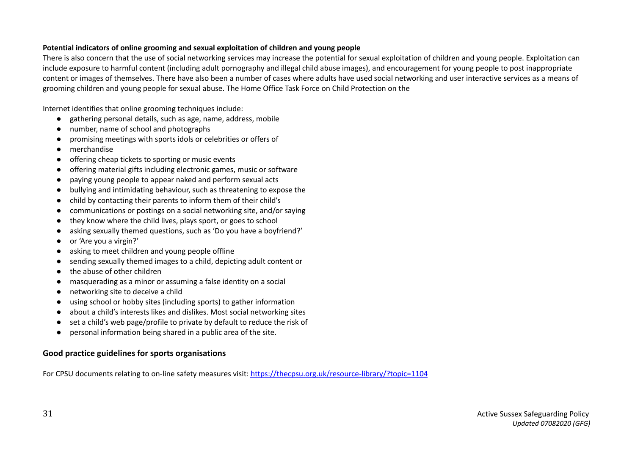#### **Potential indicators of online grooming and sexual exploitation of children and young people**

There is also concern that the use of social networking services may increase the potential for sexual exploitation of children and young people. Exploitation can include exposure to harmful content (including adult pornography and illegal child abuse images), and encouragement for young people to post inappropriate content or images of themselves. There have also been a number of cases where adults have used social networking and user interactive services as a means of grooming children and young people for sexual abuse. The Home Office Task Force on Child Protection on the

Internet identifies that online grooming techniques include:

- gathering personal details, such as age, name, address, mobile
- number, name of school and photographs
- promising meetings with sports idols or celebrities or offers of
- merchandise
- offering cheap tickets to sporting or music events
- offering material gifts including electronic games, music or software
- paying young people to appear naked and perform sexual acts
- bullying and intimidating behaviour, such as threatening to expose the
- child by contacting their parents to inform them of their child's
- communications or postings on a social networking site, and/or saying
- they know where the child lives, plays sport, or goes to school
- asking sexually themed questions, such as 'Do you have a boyfriend?'
- or 'Are you a virgin?'
- asking to meet children and young people offline
- sending sexually themed images to a child, depicting adult content or
- the abuse of other children
- masquerading as a minor or assuming a false identity on a social
- networking site to deceive a child
- using school or hobby sites (including sports) to gather information
- about a child's interests likes and dislikes. Most social networking sites
- set a child's web page/profile to private by default to reduce the risk of
- personal information being shared in a public area of the site.

# **Good practice guidelines for sports organisations**

For CPSU documents relating to on-line safety measures visit: <https://thecpsu.org.uk/resource-library/?topic=1104>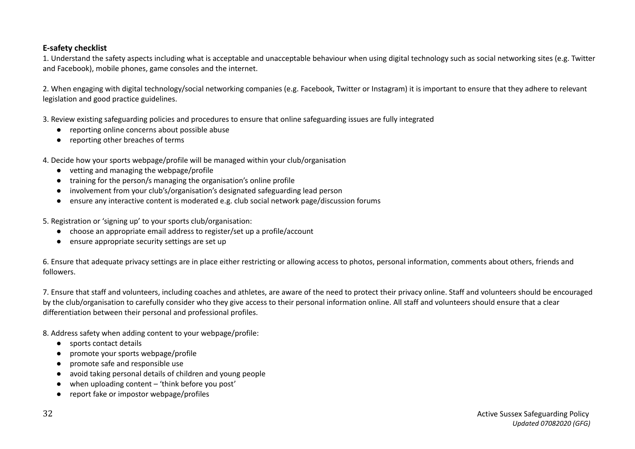# **E-safety checklist**

1. Understand the safety aspects including what is acceptable and unacceptable behaviour when using digital technology such as social networking sites (e.g. Twitter and Facebook), mobile phones, game consoles and the internet.

2. When engaging with digital technology/social networking companies (e.g. Facebook, Twitter or Instagram) it is important to ensure that they adhere to relevant legislation and good practice guidelines.

3. Review existing safeguarding policies and procedures to ensure that online safeguarding issues are fully integrated

- reporting online concerns about possible abuse
- reporting other breaches of terms
- 4. Decide how your sports webpage/profile will be managed within your club/organisation
	- vetting and managing the webpage/profile
	- training for the person/s managing the organisation's online profile
	- involvement from your club's/organisation's designated safeguarding lead person
	- ensure any interactive content is moderated e.g. club social network page/discussion forums
- 5. Registration or 'signing up' to your sports club/organisation:
	- choose an appropriate email address to register/set up a profile/account
	- ensure appropriate security settings are set up

6. Ensure that adequate privacy settings are in place either restricting or allowing access to photos, personal information, comments about others, friends and followers.

7. Ensure that staff and volunteers, including coaches and athletes, are aware of the need to protect their privacy online. Staff and volunteers should be encouraged by the club/organisation to carefully consider who they give access to their personal information online. All staff and volunteers should ensure that a clear differentiation between their personal and professional profiles.

8. Address safety when adding content to your webpage/profile:

- sports contact details
- promote your sports webpage/profile
- promote safe and responsible use
- avoid taking personal details of children and young people
- when uploading content  $-$  'think before you post'
- report fake or impostor webpage/profiles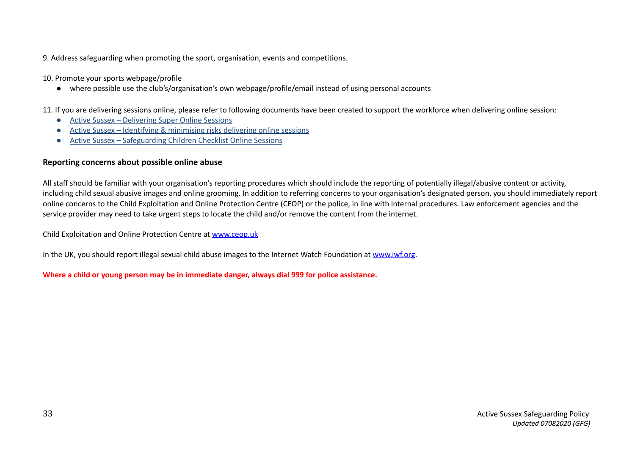9. Address safeguarding when promoting the sport, organisation, events and competitions.

10. Promote your sports webpage/profile

● where possible use the club's/organisation's own webpage/profile/email instead of using personal accounts

11. If you are delivering sessions online, please refer to following documents have been created to support the workforce when delivering online session:

- Active Sussex [Delivering](https://www.activesussex.org/wp-content/uploads/2020/05/Active-Sussex-Delivery-Super-Online-Sessions-Final.pdf) Super Online Sessions
- Active Sussex Identifying & [minimising](https://www.activesussex.org/wp-content/uploads/2020/05/Active-Sussex-Identifying-and-minimising-risks-Delivering-Online-sessions-Covid-19.pdf) risks delivering online sessions
- Active Sussex [Safeguarding](http://www.activesussex.org/wp-content/uploads/2020/05/Active-Sussex-Safeguarding-Children-Checklist-Online-Sessions.doc.pdf) Children Checklist Online Sessions

## **Reporting concerns about possible online abuse**

All staff should be familiar with your organisation's reporting procedures which should include the reporting of potentially illegal/abusive content or activity, including child sexual abusive images and online grooming. In addition to referring concerns to your organisation's designated person, you should immediately report online concerns to the Child Exploitation and Online Protection Centre (CEOP) or the police, in line with internal procedures. Law enforcement agencies and the service provider may need to take urgent steps to locate the child and/or remove the content from the internet.

Child Exploitation and Online Protection Centre at [www.ceop.uk](http://www.ceop.uk)

In the UK, you should report illegal sexual child abuse images to the Internet Watch Foundation at [www.iwf.org](http://www.iwf.org).

**Where a child or young person may be in immediate danger, always dial 999 for police assistance.**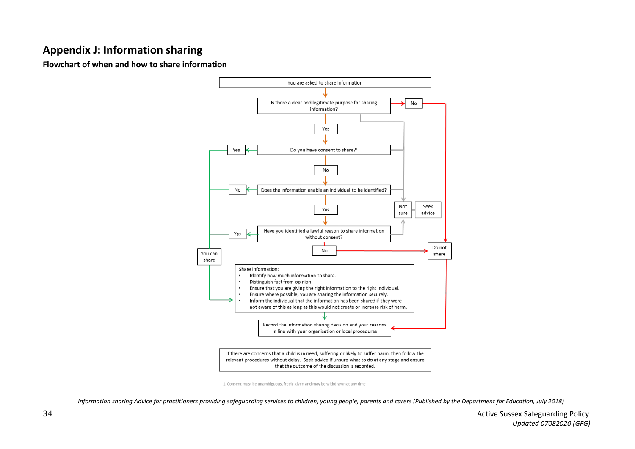# **Appendix J: Information sharing**

**Flowchart of when and how to share information**



<sup>1.</sup> Consent must be unambiguous, freely given and may be withdrawn at any time

*Information sharing Advice for practitioners providing safeguarding services to children, young people, parents and carers (Published by the Department for Education, July 2018)*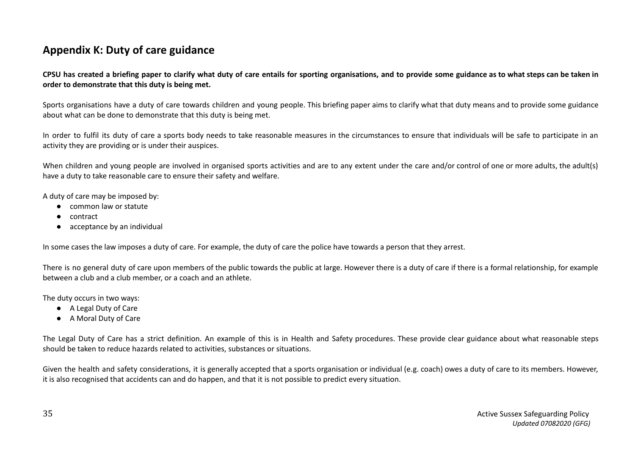# **Appendix K: Duty of care guidance**

CPSU has created a briefing paper to clarify what duty of care entails for sporting organisations, and to provide some guidance as to what steps can be taken in **order to demonstrate that this duty is being met.**

Sports organisations have a duty of care towards children and young people. This briefing paper aims to clarify what that duty means and to provide some guidance about what can be done to demonstrate that this duty is being met.

In order to fulfil its duty of care a sports body needs to take reasonable measures in the circumstances to ensure that individuals will be safe to participate in an activity they are providing or is under their auspices.

When children and young people are involved in organised sports activities and are to any extent under the care and/or control of one or more adults, the adult(s) have a duty to take reasonable care to ensure their safety and welfare.

A duty of care may be imposed by:

- common law or statute
- contract
- acceptance by an individual

In some cases the law imposes a duty of care. For example, the duty of care the police have towards a person that they arrest.

There is no general duty of care upon members of the public towards the public at large. However there is a duty of care if there is a formal relationship, for example between a club and a club member, or a coach and an athlete.

The duty occurs in two ways:

- A Legal Duty of Care
- A Moral Duty of Care

The Legal Duty of Care has a strict definition. An example of this is in Health and Safety procedures. These provide clear guidance about what reasonable steps should be taken to reduce hazards related to activities, substances or situations.

Given the health and safety considerations, it is generally accepted that a sports organisation or individual (e.g. coach) owes a duty of care to its members. However, it is also recognised that accidents can and do happen, and that it is not possible to predict every situation.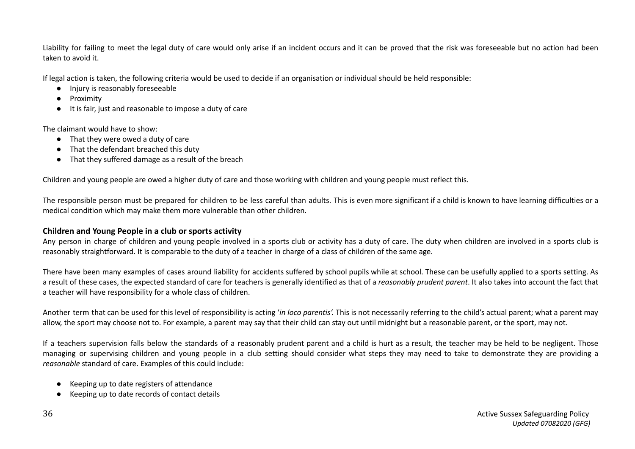Liability for failing to meet the legal duty of care would only arise if an incident occurs and it can be proved that the risk was foreseeable but no action had been taken to avoid it.

If legal action is taken, the following criteria would be used to decide if an organisation or individual should be held responsible:

- Injury is reasonably foreseeable
- **Proximity**
- It is fair, just and reasonable to impose a duty of care

The claimant would have to show:

- That they were owed a duty of care
- That the defendant breached this duty
- That they suffered damage as a result of the breach

Children and young people are owed a higher duty of care and those working with children and young people must reflect this.

The responsible person must be prepared for children to be less careful than adults. This is even more significant if a child is known to have learning difficulties or a medical condition which may make them more vulnerable than other children.

#### **Children and Young People in a club or sports activity**

Any person in charge of children and young people involved in a sports club or activity has a duty of care. The duty when children are involved in a sports club is reasonably straightforward. It is comparable to the duty of a teacher in charge of a class of children of the same age.

There have been many examples of cases around liability for accidents suffered by school pupils while at school. These can be usefully applied to a sports setting. As a result of these cases, the expected standard of care for teachers is generally identified as that of a *reasonably prudent parent*. It also takes into account the fact that a teacher will have responsibility for a whole class of children.

Another term that can be used for this level of responsibility is acting '*in loco parentis'.* This is not necessarily referring to the child's actual parent; what a parent may allow, the sport may choose not to. For example, a parent may say that their child can stay out until midnight but a reasonable parent, or the sport, may not.

If a teachers supervision falls below the standards of a reasonably prudent parent and a child is hurt as a result, the teacher may be held to be negligent. Those managing or supervising children and young people in a club setting should consider what steps they may need to take to demonstrate they are providing a *reasonable* standard of care. Examples of this could include:

- Keeping up to date registers of attendance
- Keeping up to date records of contact details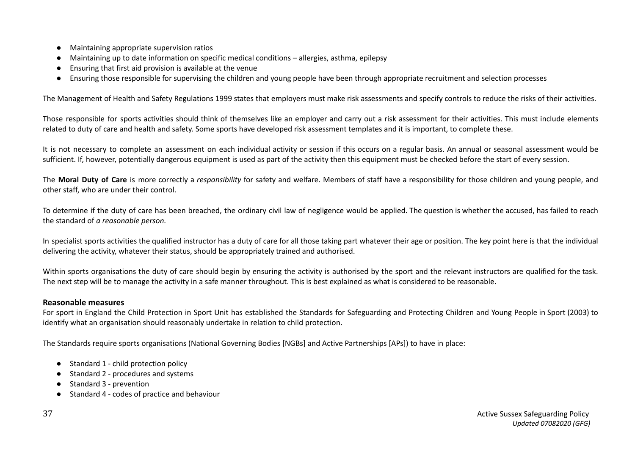- Maintaining appropriate supervision ratios
- Maintaining up to date information on specific medical conditions allergies, asthma, epilepsy
- Ensuring that first aid provision is available at the venue
- Ensuring those responsible for supervising the children and young people have been through appropriate recruitment and selection processes

The Management of Health and Safety Regulations 1999 states that employers must make risk assessments and specify controls to reduce the risks of their activities.

Those responsible for sports activities should think of themselves like an employer and carry out a risk assessment for their activities. This must include elements related to duty of care and health and safety. Some sports have developed risk assessment templates and it is important, to complete these.

It is not necessary to complete an assessment on each individual activity or session if this occurs on a regular basis. An annual or seasonal assessment would be sufficient. If, however, potentially dangerous equipment is used as part of the activity then this equipment must be checked before the start of every session.

The **Moral Duty of Care** is more correctly a *responsibility* for safety and welfare. Members of staff have a responsibility for those children and young people, and other staff, who are under their control.

To determine if the duty of care has been breached, the ordinary civil law of negligence would be applied. The question is whether the accused, has failed to reach the standard of *a reasonable person.*

In specialist sports activities the qualified instructor has a duty of care for all those taking part whatever their age or position. The key point here is that the individual delivering the activity, whatever their status, should be appropriately trained and authorised.

Within sports organisations the duty of care should begin by ensuring the activity is authorised by the sport and the relevant instructors are qualified for the task. The next step will be to manage the activity in a safe manner throughout. This is best explained as what is considered to be reasonable.

#### **Reasonable measures**

For sport in England the Child Protection in Sport Unit has established the Standards for Safeguarding and Protecting Children and Young People in Sport (2003) to identify what an organisation should reasonably undertake in relation to child protection.

The Standards require sports organisations (National Governing Bodies [NGBs] and Active Partnerships [APs]) to have in place:

- Standard 1 child protection policy
- Standard 2 procedures and systems
- Standard 3 prevention
- Standard 4 codes of practice and behaviour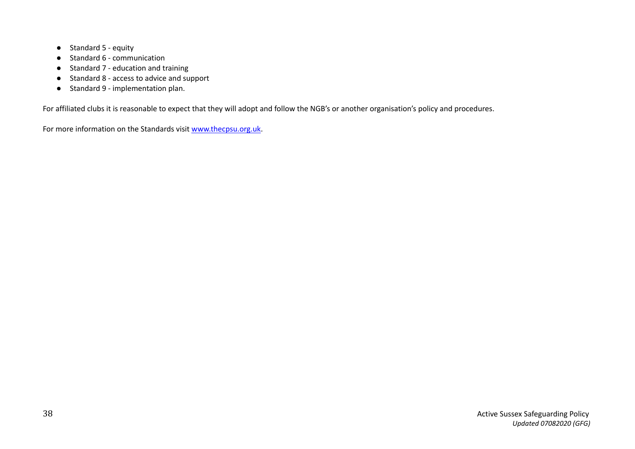- Standard 5 equity
- Standard 6 communication
- Standard 7 education and training
- Standard 8 access to advice and support
- Standard 9 implementation plan.

For affiliated clubs it is reasonable to expect that they will adopt and follow the NGB's or another organisation's policy and procedures.

For more information on the Standards visit [www.thecpsu.org.uk.](http://www.thecpsu.org.uk)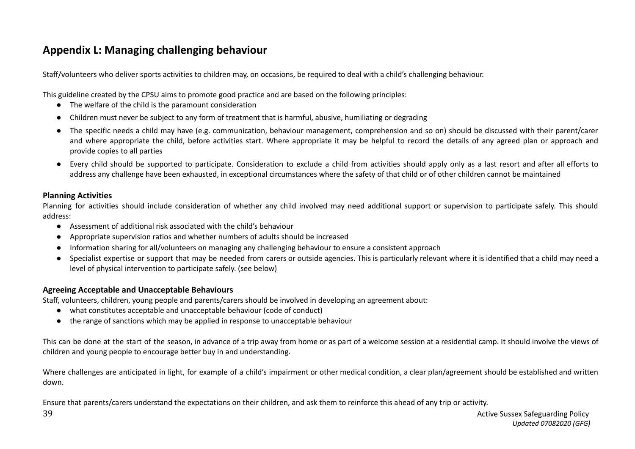# **Appendix L: Managing challenging behaviour**

Staff/volunteers who deliver sports activities to children may, on occasions, be required to deal with a child's challenging behaviour.

This guideline created by the CPSU aims to promote good practice and are based on the following principles:

- The welfare of the child is the paramount consideration
- Children must never be subject to any form of treatment that is harmful, abusive, humiliating or degrading
- The specific needs a child may have (e.g. communication, behaviour management, comprehension and so on) should be discussed with their parent/carer and where appropriate the child, before activities start. Where appropriate it may be helpful to record the details of any agreed plan or approach and provide copies to all parties
- Every child should be supported to participate. Consideration to exclude a child from activities should apply only as a last resort and after all efforts to address any challenge have been exhausted, in exceptional circumstances where the safety of that child or of other children cannot be maintained

## **Planning Activities**

Planning for activities should include consideration of whether any child involved may need additional support or supervision to participate safely. This should address:

- Assessment of additional risk associated with the child's behaviour
- Appropriate supervision ratios and whether numbers of adults should be increased
- Information sharing for all/volunteers on managing any challenging behaviour to ensure a consistent approach
- Specialist expertise or support that may be needed from carers or outside agencies. This is particularly relevant where it is identified that a child may need a level of physical intervention to participate safely. (see below)

## **Agreeing Acceptable and Unacceptable Behaviours**

Staff, volunteers, children, young people and parents/carers should be involved in developing an agreement about:

- what constitutes acceptable and unacceptable behaviour (code of conduct)
- the range of sanctions which may be applied in response to unacceptable behaviour

This can be done at the start of the season, in advance of a trip away from home or as part of a welcome session at a residential camp. It should involve the views of children and young people to encourage better buy in and understanding.

Where challenges are anticipated in light, for example of a child's impairment or other medical condition, a clear plan/agreement should be established and written down.

Ensure that parents/carers understand the expectations on their children, and ask them to reinforce this ahead of any trip or activity.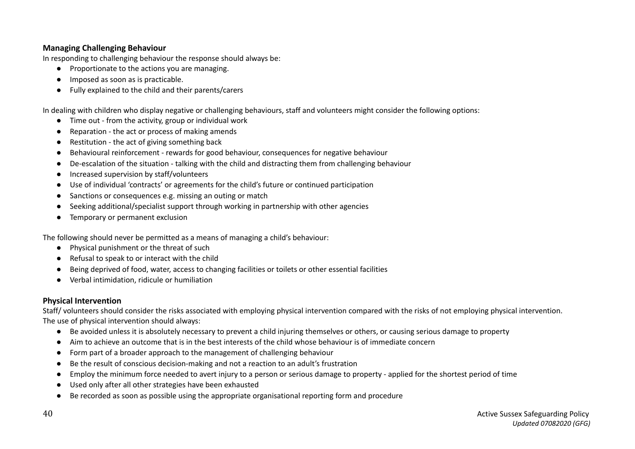## **Managing Challenging Behaviour**

In responding to challenging behaviour the response should always be:

- Proportionate to the actions you are managing.
- Imposed as soon as is practicable.
- Fully explained to the child and their parents/carers

In dealing with children who display negative or challenging behaviours, staff and volunteers might consider the following options:

- Time out from the activity, group or individual work
- Reparation the act or process of making amends
- Restitution the act of giving something back
- Behavioural reinforcement rewards for good behaviour, consequences for negative behaviour
- De-escalation of the situation talking with the child and distracting them from challenging behaviour
- Increased supervision by staff/volunteers
- Use of individual 'contracts' or agreements for the child's future or continued participation
- Sanctions or consequences e.g. missing an outing or match
- Seeking additional/specialist support through working in partnership with other agencies
- Temporary or permanent exclusion

The following should never be permitted as a means of managing a child's behaviour:

- Physical punishment or the threat of such
- Refusal to speak to or interact with the child
- Being deprived of food, water, access to changing facilities or toilets or other essential facilities
- Verbal intimidation, ridicule or humiliation

# **Physical Intervention**

Staff/ volunteers should consider the risks associated with employing physical intervention compared with the risks of not employing physical intervention. The use of physical intervention should always:

- Be avoided unless it is absolutely necessary to prevent a child injuring themselves or others, or causing serious damage to property
- Aim to achieve an outcome that is in the best interests of the child whose behaviour is of immediate concern
- Form part of a broader approach to the management of challenging behaviour
- Be the result of conscious decision-making and not a reaction to an adult's frustration
- Employ the minimum force needed to avert injury to a person or serious damage to property applied for the shortest period of time
- Used only after all other strategies have been exhausted
- Be recorded as soon as possible using the appropriate organisational reporting form and procedure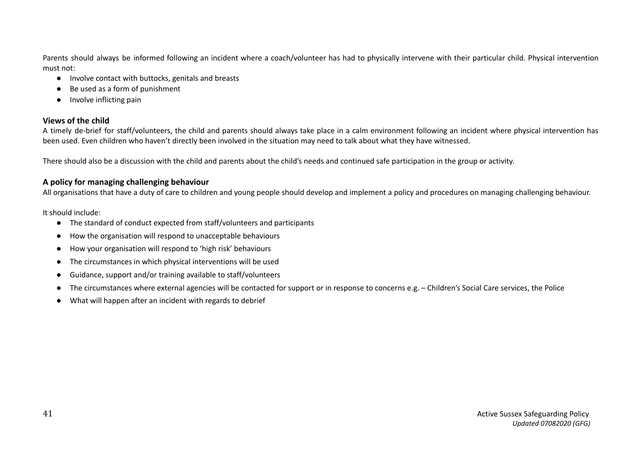Parents should always be informed following an incident where a coach/volunteer has had to physically intervene with their particular child. Physical intervention must not:

- Involve contact with buttocks, genitals and breasts
- Be used as a form of punishment
- Involve inflicting pain

## **Views of the child**

A timely de-brief for staff/volunteers, the child and parents should always take place in a calm environment following an incident where physical intervention has been used. Even children who haven't directly been involved in the situation may need to talk about what they have witnessed.

There should also be a discussion with the child and parents about the child's needs and continued safe participation in the group or activity.

## **A policy for managing challenging behaviour**

All organisations that have a duty of care to children and young people should develop and implement a policy and procedures on managing challenging behaviour.

It should include:

- The standard of conduct expected from staff/volunteers and participants
- How the organisation will respond to unacceptable behaviours
- How your organisation will respond to 'high risk' behaviours
- The circumstances in which physical interventions will be used
- Guidance, support and/or training available to staff/volunteers
- The circumstances where external agencies will be contacted for support or in response to concerns e.g. Children's Social Care services, the Police
- What will happen after an incident with regards to debrief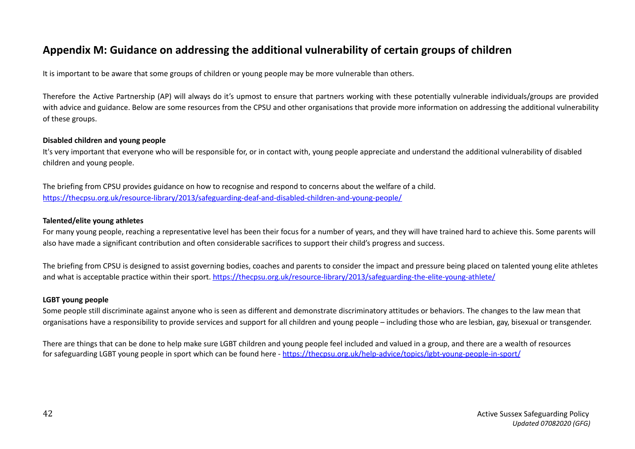# **Appendix M: Guidance on addressing the additional vulnerability of certain groups of children**

It is important to be aware that some groups of children or young people may be more vulnerable than others.

Therefore the Active Partnership (AP) will always do it's upmost to ensure that partners working with these potentially vulnerable individuals/groups are provided with advice and guidance. Below are some resources from the CPSU and other organisations that provide more information on addressing the additional vulnerability of these groups.

#### **Disabled children and young people**

It's very important that everyone who will be responsible for, or in contact with, young people appreciate and understand the additional vulnerability of disabled children and young people.

The briefing from CPSU provides guidance on how to recognise and respond to concerns about the welfare of a child. <https://thecpsu.org.uk/resource-library/2013/safeguarding-deaf-and-disabled-children-and-young-people/>

#### **Talented/elite young athletes**

For many young people, reaching a representative level has been their focus for a number of years, and they will have trained hard to achieve this. Some parents will also have made a significant contribution and often considerable sacrifices to support their child's progress and success.

The briefing from CPSU is designed to assist governing bodies, coaches and parents to consider the impact and pressure being placed on talented young elite athletes and what is acceptable practice within their sport. <https://thecpsu.org.uk/resource-library/2013/safeguarding-the-elite-young-athlete/>

#### **LGBT young people**

Some people still discriminate against anyone who is seen as different and demonstrate discriminatory attitudes or behaviors. The changes to the law mean that organisations have a responsibility to provide services and support for all children and young people – including those who are lesbian, gay, bisexual or transgender.

There are things that can be done to help make sure LGBT children and young people feel included and valued in a group, and there are a wealth of resources for safeguarding LGBT young people in sport which can be found here - <https://thecpsu.org.uk/help-advice/topics/lgbt-young-people-in-sport/>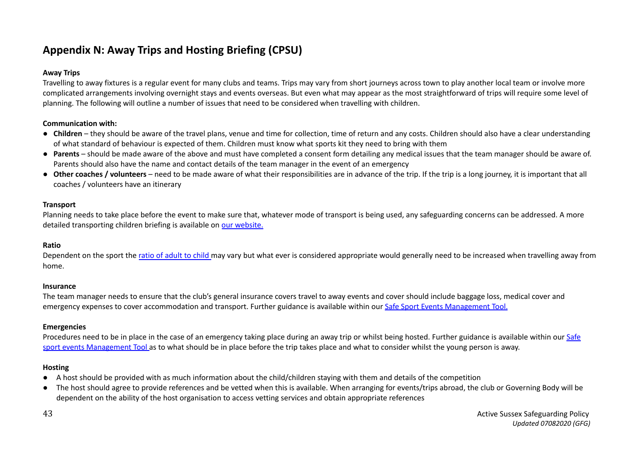# **Appendix N: Away Trips and Hosting Briefing (CPSU)**

## **Away Trips**

Travelling to away fixtures is a regular event for many clubs and teams. Trips may vary from short journeys across town to play another local team or involve more complicated arrangements involving overnight stays and events overseas. But even what may appear as the most straightforward of trips will require some level of planning. The following will outline a number of issues that need to be considered when travelling with children.

## **Communication with:**

- **Children** they should be aware of the travel plans, venue and time for collection, time of return and any costs. Children should also have a clear understanding of what standard of behaviour is expected of them. Children must know what sports kit they need to bring with them
- **Parents** should be made aware of the above and must have completed a consent form detailing any medical issues that the team manager should be aware of. Parents should also have the name and contact details of the team manager in the event of an emergency
- Other coaches is volunteers need to be made aware of what their responsibilities are in advance of the trip. If the trip is a long journey, it is important that all coaches / volunteers have an itinerary

## **Transport**

Planning needs to take place before the event to make sure that, whatever mode of transport is being used, any safeguarding concerns can be addressed. A more detailed transporting children briefing is available on our [website.](https://thecpsu.org.uk/)

#### **Ratio**

Dependent on the sport the ratio of [adult](https://thecpsu.org.uk/resource-library/2013/guidelines-on-staffingsupervision-ratios-for-childrenyoung-peoples-activities/) to child may vary but what ever is considered appropriate would generally need to be increased when travelling away from home.

#### **Insurance**

The team manager needs to ensure that the club's general insurance covers travel to away events and cover should include baggage loss, medical cover and emergency expenses to cover accommodation and transport. Further guidance is available within our Safe Sport Events [Management](https://thecpsu.org.uk/event-management/) Tool.

#### **Emergencies**

Procedures need to be in place in the case of an emergency taking place during an away trip or whilst being hosted. Further guidance is available within our [Safe](https://thecpsu.org.uk/event-management/) sport events [Management](https://thecpsu.org.uk/event-management/) Tool as to what should be in place before the trip takes place and what to consider whilst the young person is away.

#### **Hosting**

- A host should be provided with as much information about the child/children staying with them and details of the competition
- The host should agree to provide references and be vetted when this is available. When arranging for events/trips abroad, the club or Governing Body will be dependent on the ability of the host organisation to access vetting services and obtain appropriate references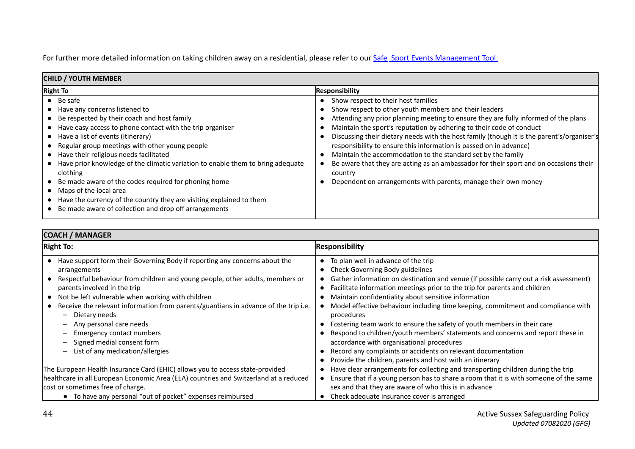For further more detailed information on taking children away on a residential, please refer to our [Safe](https://thecpsu.org.uk/event-management/) Sport Events [Management](https://thecpsu.org.uk/event-management/) Tool.

| <b>CHILD / YOUTH MEMBER</b>                                                                                                                                                                                                                                                                                                                                                                                                                                                                                                                                                                                               |                                                                                                                                                                                                                                                                                                                                                                                                                                                                                                                                                                                                                                                                       |  |  |
|---------------------------------------------------------------------------------------------------------------------------------------------------------------------------------------------------------------------------------------------------------------------------------------------------------------------------------------------------------------------------------------------------------------------------------------------------------------------------------------------------------------------------------------------------------------------------------------------------------------------------|-----------------------------------------------------------------------------------------------------------------------------------------------------------------------------------------------------------------------------------------------------------------------------------------------------------------------------------------------------------------------------------------------------------------------------------------------------------------------------------------------------------------------------------------------------------------------------------------------------------------------------------------------------------------------|--|--|
| <b>Right To</b>                                                                                                                                                                                                                                                                                                                                                                                                                                                                                                                                                                                                           | <b>Responsibility</b>                                                                                                                                                                                                                                                                                                                                                                                                                                                                                                                                                                                                                                                 |  |  |
| $\bullet$ Be safe<br>Have any concerns listened to<br>Be respected by their coach and host family<br>• Have easy access to phone contact with the trip organiser<br>• Have a list of events (itinerary)<br>Regular group meetings with other young people<br>• Have their religious needs facilitated<br>Have prior knowledge of the climatic variation to enable them to bring adequate<br>clothing<br>Be made aware of the codes required for phoning home<br>Maps of the local area<br>• Have the currency of the country they are visiting explained to them<br>Be made aware of collection and drop off arrangements | Show respect to their host families<br>Show respect to other youth members and their leaders<br>Attending any prior planning meeting to ensure they are fully informed of the plans<br>Maintain the sport's reputation by adhering to their code of conduct<br>Discussing their dietary needs with the host family (though it is the parent's/organiser's<br>responsibility to ensure this information is passed on in advance)<br>Maintain the accommodation to the standard set by the family<br>Be aware that they are acting as an ambassador for their sport and on occasions their<br>country<br>Dependent on arrangements with parents, manage their own money |  |  |

| <b>Right To:</b>                                                                      | <b>Responsibility</b>                                                                 |  |  |  |
|---------------------------------------------------------------------------------------|---------------------------------------------------------------------------------------|--|--|--|
| • Have support form their Governing Body if reporting any concerns about the          | To plan well in advance of the trip                                                   |  |  |  |
| arrangements                                                                          | Check Governing Body guidelines                                                       |  |  |  |
| Respectful behaviour from children and young people, other adults, members or         | Gather information on destination and venue (if possible carry out a risk assessment) |  |  |  |
| parents involved in the trip                                                          | Facilitate information meetings prior to the trip for parents and children            |  |  |  |
| • Not be left vulnerable when working with children                                   | Maintain confidentiality about sensitive information                                  |  |  |  |
| Receive the relevant information from parents/guardians in advance of the trip i.e.   | Model effective behaviour including time keeping, commitment and compliance with      |  |  |  |
| Dietary needs                                                                         | procedures                                                                            |  |  |  |
| Any personal care needs                                                               | Fostering team work to ensure the safety of youth members in their care               |  |  |  |
| Emergency contact numbers                                                             | Respond to children/youth members' statements and concerns and report these in        |  |  |  |
| Signed medial consent form                                                            | accordance with organisational procedures                                             |  |  |  |
| List of any medication/allergies                                                      | Record any complaints or accidents on relevant documentation                          |  |  |  |
|                                                                                       | Provide the children, parents and host with an itinerary                              |  |  |  |
| The European Health Insurance Card (EHIC) allows you to access state-provided         | Have clear arrangements for collecting and transporting children during the trip      |  |  |  |
| healthcare in all European Economic Area (EEA) countries and Switzerland at a reduced | Ensure that if a young person has to share a room that it is with someone of the same |  |  |  |
| cost or sometimes free of charge.                                                     | sex and that they are aware of who this is in advance                                 |  |  |  |
| • To have any personal "out of pocket" expenses reimbursed                            | Check adequate insurance cover is arranged                                            |  |  |  |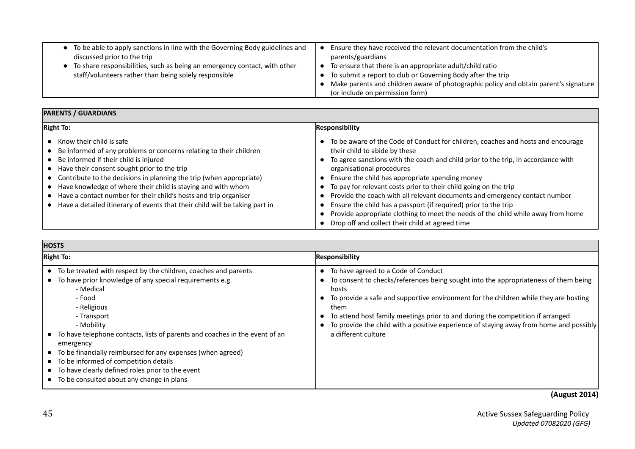| • To be able to apply sanctions in line with the Governing Body guidelines and | Ensure they have received the relevant documentation from the child's                |
|--------------------------------------------------------------------------------|--------------------------------------------------------------------------------------|
| discussed prior to the trip                                                    | parents/guardians                                                                    |
| • To share responsibilities, such as being an emergency contact, with other    | To ensure that there is an appropriate adult/child ratio                             |
| staff/volunteers rather than being solely responsible                          | To submit a report to club or Governing Body after the trip                          |
|                                                                                | Make parents and children aware of photographic policy and obtain parent's signature |
|                                                                                | (or include on permission form)                                                      |

# **PARENTS / GUARDIANS**

| <b>Right To:</b>                                                                                                                                                                                                                                                                                                                                                                                                                                                                                         | <b>Responsibility</b>                                                                                                                                                                                                                                                                                                                                                                                                                                                                                                                                                                                                                                |
|----------------------------------------------------------------------------------------------------------------------------------------------------------------------------------------------------------------------------------------------------------------------------------------------------------------------------------------------------------------------------------------------------------------------------------------------------------------------------------------------------------|------------------------------------------------------------------------------------------------------------------------------------------------------------------------------------------------------------------------------------------------------------------------------------------------------------------------------------------------------------------------------------------------------------------------------------------------------------------------------------------------------------------------------------------------------------------------------------------------------------------------------------------------------|
| $\bullet$ Know their child is safe<br>• Be informed of any problems or concerns relating to their children<br>• Be informed if their child is injured<br>• Have their consent sought prior to the trip<br>• Contribute to the decisions in planning the trip (when appropriate)<br>• Have knowledge of where their child is staying and with whom<br>• Have a contact number for their child's hosts and trip organiser<br>• Have a detailed itinerary of events that their child will be taking part in | • To be aware of the Code of Conduct for children, coaches and hosts and encourage<br>their child to abide by these<br>To agree sanctions with the coach and child prior to the trip, in accordance with<br>organisational procedures<br>Ensure the child has appropriate spending money<br>To pay for relevant costs prior to their child going on the trip<br>Provide the coach with all relevant documents and emergency contact number<br>Ensure the child has a passport (if required) prior to the trip<br>Provide appropriate clothing to meet the needs of the child while away from home<br>Drop off and collect their child at agreed time |

| <b>HOSTS</b>                                                                                                                                                                                                                                                                                                                                                                                                                                                                                                             |                                                                                                                                                                                                                                                                                                                                                                                                                                        |  |  |
|--------------------------------------------------------------------------------------------------------------------------------------------------------------------------------------------------------------------------------------------------------------------------------------------------------------------------------------------------------------------------------------------------------------------------------------------------------------------------------------------------------------------------|----------------------------------------------------------------------------------------------------------------------------------------------------------------------------------------------------------------------------------------------------------------------------------------------------------------------------------------------------------------------------------------------------------------------------------------|--|--|
| <b>Right To:</b>                                                                                                                                                                                                                                                                                                                                                                                                                                                                                                         | <b>Responsibility</b>                                                                                                                                                                                                                                                                                                                                                                                                                  |  |  |
| • To be treated with respect by the children, coaches and parents<br>To have prior knowledge of any special requirements e.g.<br>- Medical<br>- Food<br>- Religious<br>- Transport<br>- Mobility<br>To have telephone contacts, lists of parents and coaches in the event of an<br>emergency<br>To be financially reimbursed for any expenses (when agreed)<br>$\bullet$<br>• To be informed of competition details<br>• To have clearly defined roles prior to the event<br>• To be consulted about any change in plans | To have agreed to a Code of Conduct<br>To consent to checks/references being sought into the appropriateness of them being<br>hosts<br>To provide a safe and supportive environment for the children while they are hosting<br>them<br>To attend host family meetings prior to and during the competition if arranged<br>To provide the child with a positive experience of staying away from home and possibly<br>a different culture |  |  |

**(August 2014)**